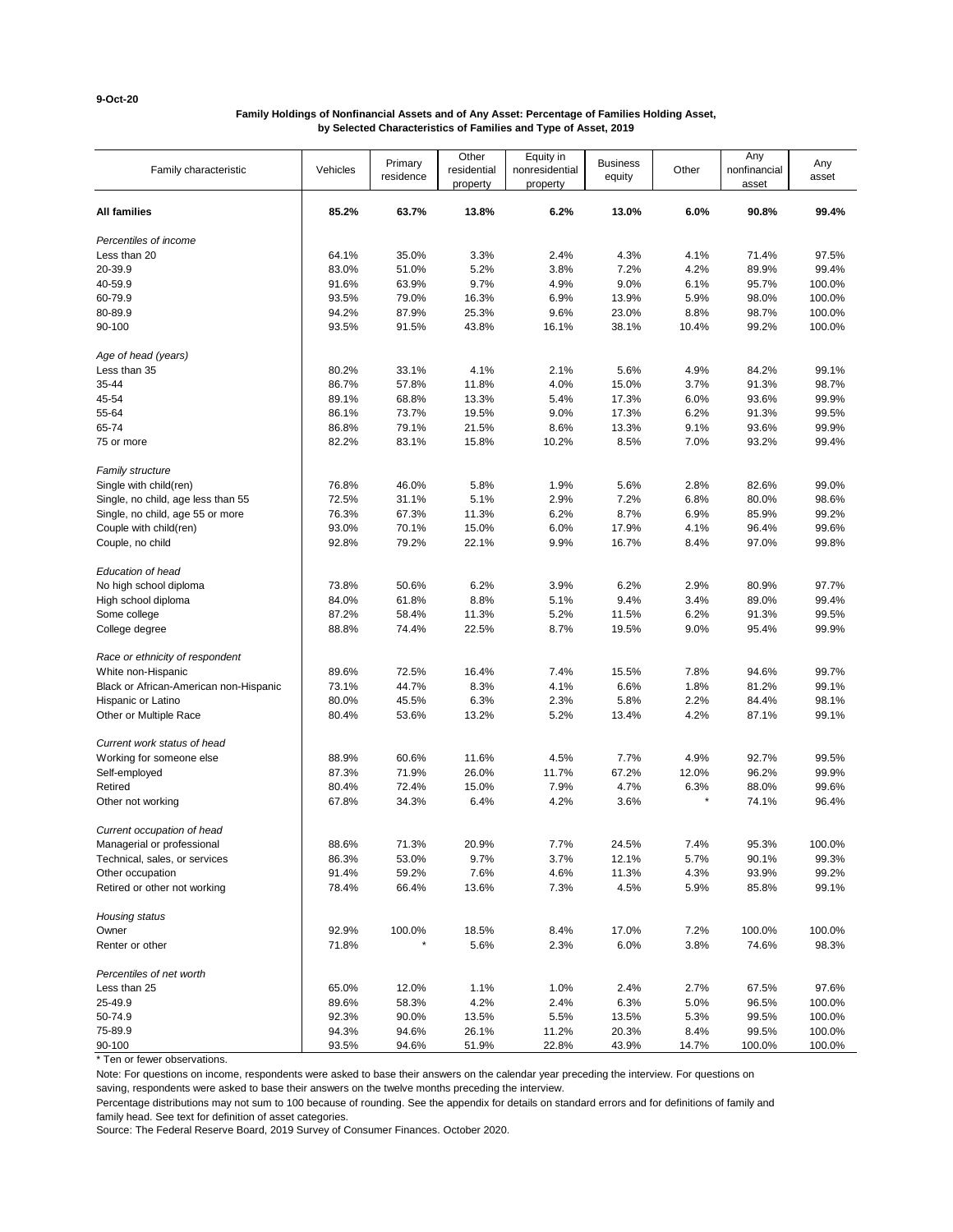**9-Oct-20**

# **Family Holdings of Nonfinancial Assets and of Any Asset: Percentage of Families Holding Asset, by Selected Characteristics of Families and Type of Asset, 2019**

| Family characteristic                  | Vehicles | Primary<br>residence | Other<br>residential<br>property | Equity in<br>nonresidential<br>property | <b>Business</b><br>equity | Other | Any<br>nonfinancial<br>asset | Any<br>asset |
|----------------------------------------|----------|----------------------|----------------------------------|-----------------------------------------|---------------------------|-------|------------------------------|--------------|
| <b>All families</b>                    | 85.2%    | 63.7%                | 13.8%                            | 6.2%                                    | 13.0%                     | 6.0%  | 90.8%                        | 99.4%        |
| Percentiles of income                  |          |                      |                                  |                                         |                           |       |                              |              |
| Less than 20                           | 64.1%    | 35.0%                | 3.3%                             | 2.4%                                    | 4.3%                      | 4.1%  | 71.4%                        | 97.5%        |
| 20-39.9                                | 83.0%    | 51.0%                | 5.2%                             | 3.8%                                    | 7.2%                      | 4.2%  | 89.9%                        | 99.4%        |
| 40-59.9                                | 91.6%    | 63.9%                | 9.7%                             | 4.9%                                    | 9.0%                      | 6.1%  | 95.7%                        | 100.0%       |
| 60-79.9                                | 93.5%    | 79.0%                | 16.3%                            | 6.9%                                    | 13.9%                     | 5.9%  | 98.0%                        | 100.0%       |
| 80-89.9                                | 94.2%    | 87.9%                | 25.3%                            | 9.6%                                    | 23.0%                     | 8.8%  | 98.7%                        | 100.0%       |
| 90-100                                 | 93.5%    | 91.5%                | 43.8%                            | 16.1%                                   | 38.1%                     | 10.4% | 99.2%                        | 100.0%       |
| Age of head (years)                    |          |                      |                                  |                                         |                           |       |                              |              |
| Less than 35                           | 80.2%    | 33.1%                | 4.1%                             | 2.1%                                    | 5.6%                      | 4.9%  | 84.2%                        | 99.1%        |
| 35-44                                  | 86.7%    | 57.8%                | 11.8%                            | 4.0%                                    | 15.0%                     | 3.7%  | 91.3%                        | 98.7%        |
| 45-54                                  | 89.1%    | 68.8%                | 13.3%                            | 5.4%                                    | 17.3%                     | 6.0%  | 93.6%                        | 99.9%        |
| 55-64                                  | 86.1%    | 73.7%                | 19.5%                            | 9.0%                                    | 17.3%                     | 6.2%  | 91.3%                        | 99.5%        |
| 65-74                                  | 86.8%    | 79.1%                | 21.5%                            | 8.6%                                    | 13.3%                     | 9.1%  | 93.6%                        | 99.9%        |
| 75 or more                             | 82.2%    | 83.1%                | 15.8%                            | 10.2%                                   | 8.5%                      | 7.0%  | 93.2%                        | 99.4%        |
| Family structure                       |          |                      |                                  |                                         |                           |       |                              |              |
| Single with child(ren)                 | 76.8%    | 46.0%                | 5.8%                             | 1.9%                                    | 5.6%                      | 2.8%  | 82.6%                        | 99.0%        |
| Single, no child, age less than 55     | 72.5%    | 31.1%                | 5.1%                             | 2.9%                                    | 7.2%                      | 6.8%  | 80.0%                        | 98.6%        |
| Single, no child, age 55 or more       | 76.3%    | 67.3%                | 11.3%                            | 6.2%                                    | 8.7%                      | 6.9%  | 85.9%                        | 99.2%        |
| Couple with child(ren)                 | 93.0%    | 70.1%                | 15.0%                            | 6.0%                                    | 17.9%                     | 4.1%  | 96.4%                        | 99.6%        |
| Couple, no child                       | 92.8%    | 79.2%                | 22.1%                            | 9.9%                                    | 16.7%                     | 8.4%  | 97.0%                        | 99.8%        |
| Education of head                      |          |                      |                                  |                                         |                           |       |                              |              |
| No high school diploma                 | 73.8%    | 50.6%                | 6.2%                             | 3.9%                                    | 6.2%                      | 2.9%  | 80.9%                        | 97.7%        |
| High school diploma                    | 84.0%    | 61.8%                | 8.8%                             | 5.1%                                    | 9.4%                      | 3.4%  | 89.0%                        | 99.4%        |
| Some college                           | 87.2%    | 58.4%                | 11.3%                            | 5.2%                                    | 11.5%                     | 6.2%  | 91.3%                        | 99.5%        |
| College degree                         | 88.8%    | 74.4%                | 22.5%                            | 8.7%                                    | 19.5%                     | 9.0%  | 95.4%                        | 99.9%        |
| Race or ethnicity of respondent        |          |                      |                                  |                                         |                           |       |                              |              |
| White non-Hispanic                     | 89.6%    | 72.5%                | 16.4%                            | 7.4%                                    | 15.5%                     | 7.8%  | 94.6%                        | 99.7%        |
| Black or African-American non-Hispanic | 73.1%    | 44.7%                | 8.3%                             | 4.1%                                    | 6.6%                      | 1.8%  | 81.2%                        | 99.1%        |
| Hispanic or Latino                     | 80.0%    | 45.5%                | 6.3%                             | 2.3%                                    | 5.8%                      | 2.2%  | 84.4%                        | 98.1%        |
| Other or Multiple Race                 | 80.4%    | 53.6%                | 13.2%                            | 5.2%                                    | 13.4%                     | 4.2%  | 87.1%                        | 99.1%        |
| Current work status of head            |          |                      |                                  |                                         |                           |       |                              |              |
| Working for someone else               | 88.9%    | 60.6%                | 11.6%                            | 4.5%                                    | 7.7%                      | 4.9%  | 92.7%                        | 99.5%        |
| Self-employed                          | 87.3%    | 71.9%                | 26.0%                            | 11.7%                                   | 67.2%                     | 12.0% | 96.2%                        | 99.9%        |
| Retired                                | 80.4%    | 72.4%                | 15.0%                            | 7.9%                                    | 4.7%                      | 6.3%  | 88.0%                        | 99.6%        |
| Other not working                      | 67.8%    | 34.3%                | 6.4%                             | 4.2%                                    | 3.6%                      |       | 74.1%                        | 96.4%        |
| Current occupation of head             |          |                      |                                  |                                         |                           |       |                              |              |
| Managerial or professional             | 88.6%    | 71.3%                | 20.9%                            | 7.7%                                    | 24.5%                     | 7.4%  | 95.3%                        | 100.0%       |
| Technical, sales, or services          | 86.3%    | 53.0%                | 9.7%                             | 3.7%                                    | 12.1%                     | 5.7%  | 90.1%                        | 99.3%        |
| Other occupation                       | 91.4%    | 59.2%                | 7.6%                             | 4.6%                                    | 11.3%                     | 4.3%  | 93.9%                        | 99.2%        |
| Retired or other not working           | 78.4%    | 66.4%                | 13.6%                            | 7.3%                                    | 4.5%                      | 5.9%  | 85.8%                        | 99.1%        |
| Housing status                         |          |                      |                                  |                                         |                           |       |                              |              |
| Owner                                  | 92.9%    | 100.0%               | 18.5%                            | 8.4%                                    | 17.0%                     | 7.2%  | 100.0%                       | 100.0%       |
| Renter or other                        | 71.8%    |                      | 5.6%                             | 2.3%                                    | 6.0%                      | 3.8%  | 74.6%                        | 98.3%        |
| Percentiles of net worth               |          |                      |                                  |                                         |                           |       |                              |              |
| Less than 25                           | 65.0%    | 12.0%                | 1.1%                             | 1.0%                                    | 2.4%                      | 2.7%  | 67.5%                        | 97.6%        |
| 25-49.9                                | 89.6%    | 58.3%                | 4.2%                             | 2.4%                                    | 6.3%                      | 5.0%  | 96.5%                        | 100.0%       |
| 50-74.9                                | 92.3%    | 90.0%                | 13.5%                            | 5.5%                                    | 13.5%                     | 5.3%  | 99.5%                        | 100.0%       |
| 75-89.9                                | 94.3%    | 94.6%                | 26.1%                            | 11.2%                                   | 20.3%                     | 8.4%  | 99.5%                        | 100.0%       |
| 90-100                                 | 93.5%    | 94.6%                | 51.9%                            | 22.8%                                   | 43.9%                     | 14.7% | 100.0%                       | 100.0%       |

\* Ten or fewer observations.

Note: For questions on income, respondents were asked to base their answers on the calendar year preceding the interview. For questions on

saving, respondents were asked to base their answers on the twelve months preceding the interview.

Percentage distributions may not sum to 100 because of rounding. See the appendix for details on standard errors and for definitions of family and family head. See text for definition of asset categories.

Source: The Federal Reserve Board, 2019 Survey of Consumer Finances. October 2020.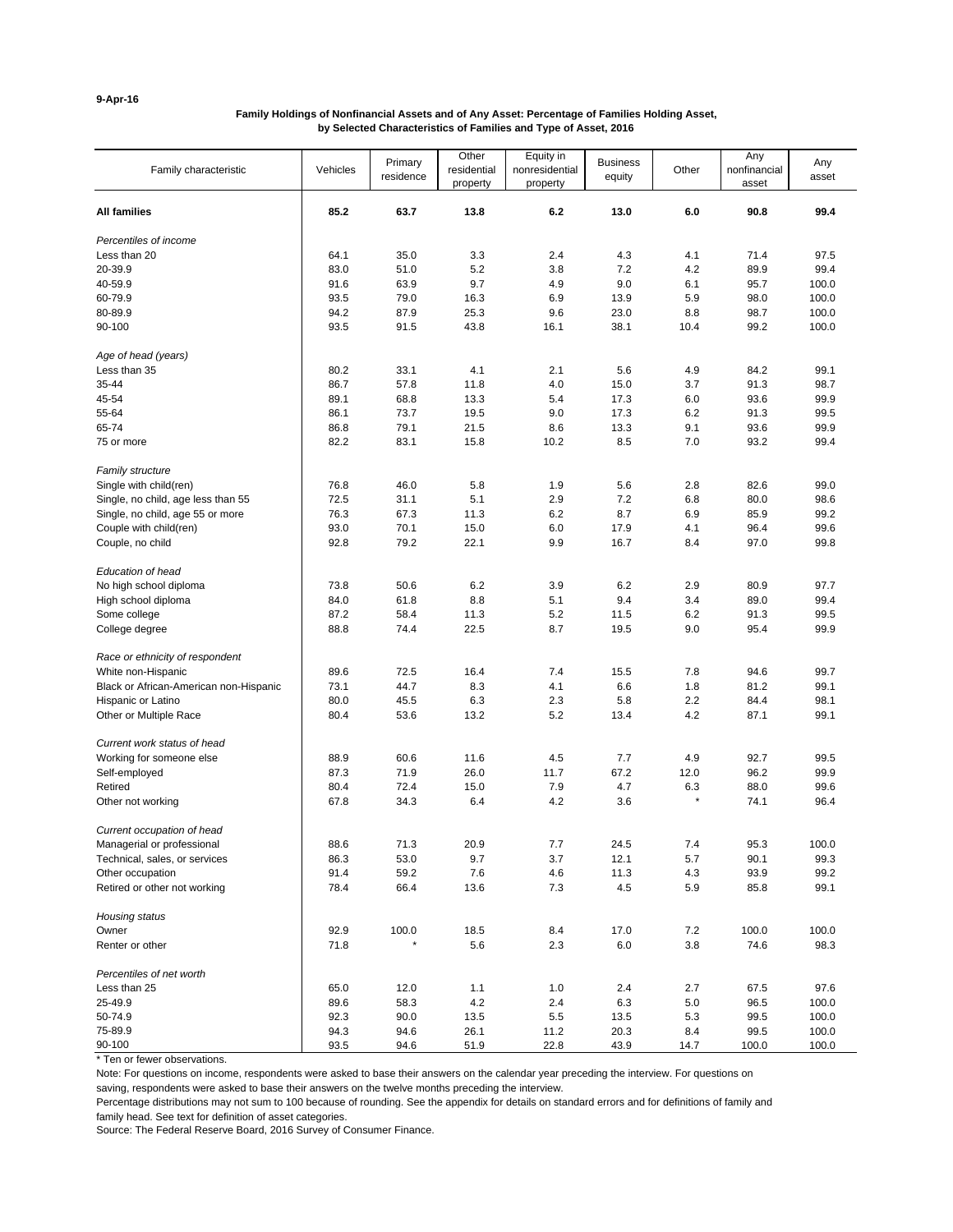**9-Apr-16**

# **Family Holdings of Nonfinancial Assets and of Any Asset: Percentage of Families Holding Asset, by Selected Characteristics of Families and Type of Asset, 2016**

| Family characteristic                  | Vehicles     | Primary<br>residence | Other<br>residential<br>property | Equity in<br>nonresidential<br>property | <b>Business</b><br>equity | Other       | Any<br>nonfinancial<br>asset | Any<br>asset   |
|----------------------------------------|--------------|----------------------|----------------------------------|-----------------------------------------|---------------------------|-------------|------------------------------|----------------|
| <b>All families</b>                    | 85.2         | 63.7                 | 13.8                             | 6.2                                     | 13.0                      | 6.0         | 90.8                         | 99.4           |
| Percentiles of income                  |              |                      |                                  |                                         |                           |             |                              |                |
| Less than 20                           | 64.1         | 35.0                 | 3.3                              | 2.4                                     | 4.3                       | 4.1         | 71.4                         | 97.5           |
| 20-39.9                                | 83.0         | 51.0                 | 5.2                              | 3.8                                     | 7.2                       | 4.2         | 89.9                         | 99.4           |
| 40-59.9                                | 91.6         | 63.9                 | 9.7                              | 4.9                                     | 9.0                       | 6.1         | 95.7                         | 100.0          |
| 60-79.9                                | 93.5         | 79.0                 | 16.3                             | 6.9                                     | 13.9                      | 5.9         | 98.0                         | 100.0          |
| 80-89.9                                | 94.2         | 87.9                 | 25.3                             | 9.6                                     | 23.0                      | 8.8         | 98.7                         | 100.0          |
| 90-100                                 | 93.5         | 91.5                 | 43.8                             | 16.1                                    | 38.1                      | 10.4        | 99.2                         | 100.0          |
| Age of head (years)                    |              |                      |                                  |                                         |                           |             |                              |                |
| Less than 35                           | 80.2         | 33.1                 | 4.1                              | 2.1                                     | 5.6                       | 4.9         | 84.2                         | 99.1           |
| 35-44                                  | 86.7         | 57.8                 | 11.8                             | 4.0                                     | 15.0                      | 3.7         | 91.3                         | 98.7           |
| 45-54                                  | 89.1         | 68.8                 | 13.3                             | 5.4                                     | 17.3                      | 6.0         | 93.6                         | 99.9           |
| 55-64                                  | 86.1         | 73.7                 | 19.5                             | 9.0                                     | 17.3                      | 6.2         | 91.3                         | 99.5           |
| 65-74                                  | 86.8         | 79.1                 | 21.5                             | 8.6                                     | 13.3                      | 9.1         | 93.6                         | 99.9           |
| 75 or more                             | 82.2         | 83.1                 | 15.8                             | 10.2                                    | 8.5                       | 7.0         | 93.2                         | 99.4           |
| <b>Family structure</b>                |              |                      |                                  |                                         |                           |             |                              |                |
| Single with child(ren)                 | 76.8         | 46.0                 | 5.8                              | 1.9                                     | 5.6                       | 2.8         | 82.6                         | 99.0           |
| Single, no child, age less than 55     | 72.5         | 31.1                 | 5.1                              | 2.9                                     | 7.2                       | 6.8         | 80.0                         | 98.6           |
| Single, no child, age 55 or more       | 76.3         | 67.3                 | 11.3                             | 6.2                                     | 8.7                       | 6.9         | 85.9                         | 99.2           |
| Couple with child(ren)                 | 93.0         | 70.1                 | 15.0                             | 6.0                                     | 17.9                      | 4.1         | 96.4                         | 99.6           |
| Couple, no child                       | 92.8         | 79.2                 | 22.1                             | 9.9                                     | 16.7                      | 8.4         | 97.0                         | 99.8           |
| Education of head                      |              |                      |                                  |                                         |                           |             |                              |                |
| No high school diploma                 | 73.8         | 50.6                 | 6.2                              | 3.9                                     | 6.2                       | 2.9         | 80.9                         | 97.7           |
| High school diploma                    | 84.0         | 61.8                 | 8.8                              | 5.1                                     | 9.4                       | 3.4         | 89.0                         | 99.4           |
| Some college                           | 87.2         | 58.4                 | 11.3                             | 5.2                                     | 11.5                      | 6.2         | 91.3                         | 99.5           |
| College degree                         | 88.8         | 74.4                 | 22.5                             | 8.7                                     | 19.5                      | 9.0         | 95.4                         | 99.9           |
| Race or ethnicity of respondent        |              |                      |                                  |                                         |                           |             |                              |                |
| White non-Hispanic                     | 89.6         | 72.5                 | 16.4                             | 7.4                                     | 15.5                      | 7.8         | 94.6                         | 99.7           |
| Black or African-American non-Hispanic | 73.1         | 44.7                 | 8.3                              | 4.1                                     | 6.6                       | 1.8         | 81.2                         | 99.1           |
| Hispanic or Latino                     | 80.0         | 45.5                 | 6.3                              | 2.3                                     | 5.8                       | 2.2         | 84.4                         | 98.1           |
| Other or Multiple Race                 | 80.4         | 53.6                 | 13.2                             | 5.2                                     | 13.4                      | 4.2         | 87.1                         | 99.1           |
| Current work status of head            |              |                      |                                  |                                         |                           |             |                              |                |
| Working for someone else               | 88.9         | 60.6                 | 11.6                             | 4.5                                     | 7.7                       | 4.9         | 92.7                         | 99.5           |
| Self-employed                          | 87.3         | 71.9                 | 26.0                             | 11.7                                    | 67.2                      | 12.0        | 96.2                         | 99.9           |
| Retired                                | 80.4         | 72.4                 | 15.0                             | 7.9                                     | 4.7                       | 6.3         | 88.0                         | 99.6           |
| Other not working                      | 67.8         | 34.3                 | 6.4                              | 4.2                                     | 3.6                       |             | 74.1                         | 96.4           |
| Current occupation of head             |              |                      |                                  |                                         |                           |             |                              |                |
| Managerial or professional             | 88.6         | 71.3                 | 20.9                             | 7.7                                     | 24.5                      | 7.4         | 95.3                         | 100.0          |
| Technical, sales, or services          | 86.3         | 53.0                 | 9.7                              | 3.7                                     | 12.1                      | 5.7         | 90.1                         | 99.3           |
| Other occupation                       | 91.4         | 59.2                 | 7.6                              | 4.6                                     | 11.3                      | 4.3         | 93.9                         | 99.2           |
| Retired or other not working           | 78.4         | 66.4                 | 13.6                             | $7.3$                                   | 4.5                       | 5.9         | 85.8                         | 99.1           |
| Housing status                         |              |                      |                                  |                                         |                           |             |                              |                |
| Owner                                  | 92.9         | 100.0                | 18.5                             | 8.4                                     | 17.0                      | 7.2         | 100.0                        | 100.0          |
| Renter or other                        | 71.8         |                      | 5.6                              | 2.3                                     | 6.0                       | 3.8         | 74.6                         | 98.3           |
| Percentiles of net worth               |              |                      |                                  |                                         |                           |             |                              |                |
| Less than 25                           | 65.0         | 12.0                 | 1.1                              | 1.0                                     | 2.4                       | 2.7         | 67.5                         | 97.6           |
| 25-49.9                                | 89.6         | 58.3                 | 4.2                              | 2.4                                     | 6.3                       | 5.0         | 96.5                         | 100.0          |
| 50-74.9                                | 92.3         | 90.0                 | 13.5                             | 5.5                                     | 13.5                      | 5.3         | 99.5                         | 100.0          |
| 75-89.9<br>90-100                      | 94.3<br>93.5 | 94.6<br>94.6         | 26.1<br>51.9                     | 11.2<br>22.8                            | 20.3<br>43.9              | 8.4<br>14.7 | 99.5<br>100.0                | 100.0<br>100.0 |

\* Ten or fewer observations.

Note: For questions on income, respondents were asked to base their answers on the calendar year preceding the interview. For questions on

saving, respondents were asked to base their answers on the twelve months preceding the interview.

Percentage distributions may not sum to 100 because of rounding. See the appendix for details on standard errors and for definitions of family and family head. See text for definition of asset categories.

Source: The Federal Reserve Board, 2016 Survey of Consumer Finance.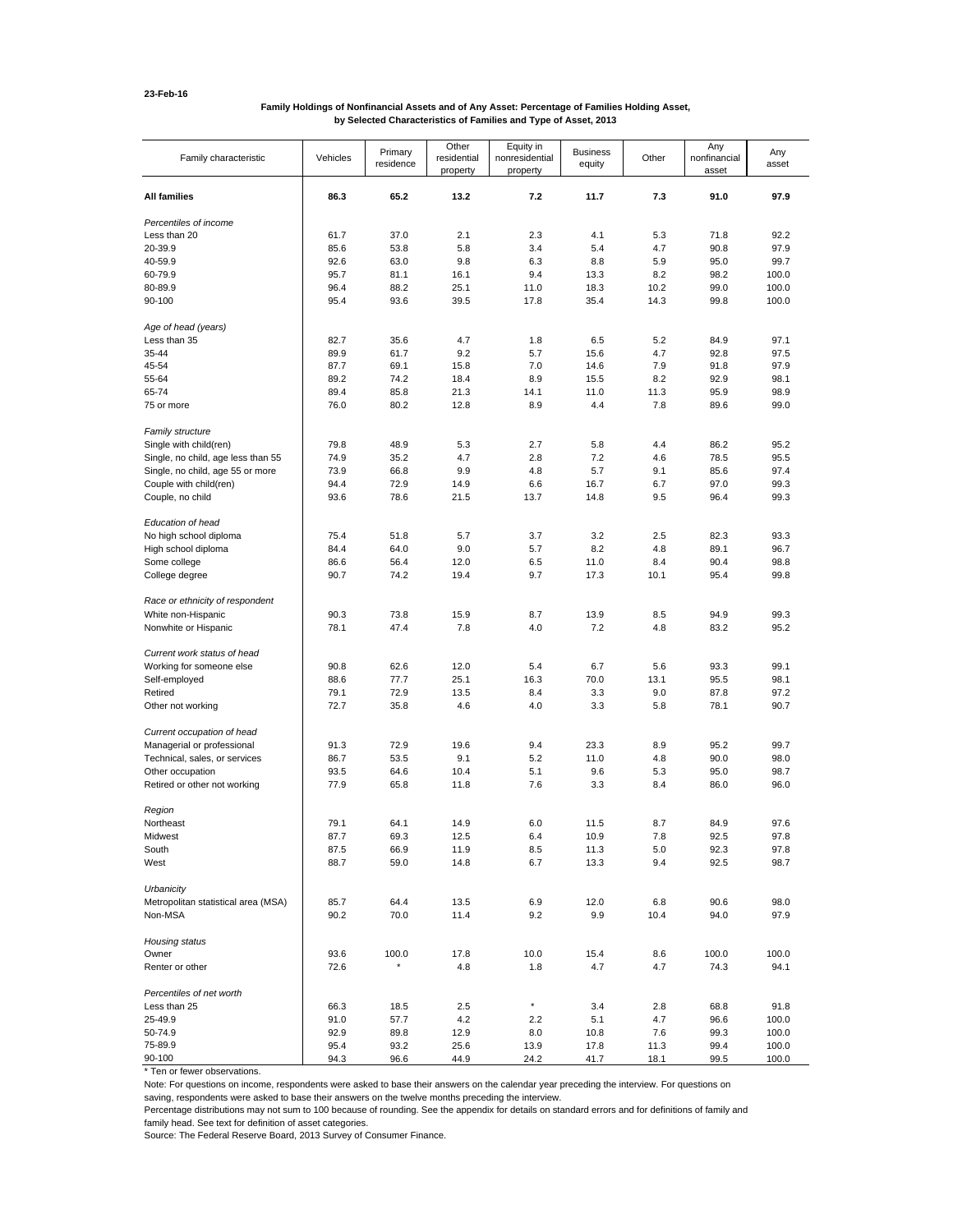### **Family Holdings of Nonfinancial Assets and of Any Asset: Percentage of Families Holding Asset, by Selected Characteristics of Families and Type of Asset, 2013**

| Family characteristic               | Vehicles | Primary<br>residence | Other<br>residential<br>property | Equity in<br>nonresidential<br>property | <b>Business</b><br>equity | Other | Any<br>nonfinancial<br>asset | Any<br>asset |
|-------------------------------------|----------|----------------------|----------------------------------|-----------------------------------------|---------------------------|-------|------------------------------|--------------|
| <b>All families</b>                 | 86.3     | 65.2                 | 13.2                             | 7.2                                     | 11.7                      | 7.3   | 91.0                         | 97.9         |
| Percentiles of income               |          |                      |                                  |                                         |                           |       |                              |              |
| Less than 20                        | 61.7     | 37.0                 | 2.1                              | 2.3                                     | 4.1                       | 5.3   | 71.8                         | 92.2         |
| 20-39.9                             | 85.6     | 53.8                 | 5.8                              | 3.4                                     | 5.4                       | 4.7   | 90.8                         | 97.9         |
| 40-59.9                             | 92.6     | 63.0                 | 9.8                              | 6.3                                     | 8.8                       | 5.9   | 95.0                         | 99.7         |
| 60-79.9                             | 95.7     | 81.1                 | 16.1                             | 9.4                                     | 13.3                      | 8.2   | 98.2                         | 100.0        |
| 80-89.9                             | 96.4     | 88.2                 | 25.1                             | 11.0                                    | 18.3                      | 10.2  | 99.0                         | 100.0        |
| 90-100                              | 95.4     | 93.6                 | 39.5                             | 17.8                                    | 35.4                      | 14.3  | 99.8                         | 100.0        |
| Age of head (years)                 |          |                      |                                  |                                         |                           |       |                              |              |
| Less than 35                        | 82.7     | 35.6                 | 4.7                              | 1.8                                     | 6.5                       | 5.2   | 84.9                         | 97.1         |
| 35-44                               | 89.9     | 61.7                 | 9.2                              | 5.7                                     | 15.6                      | 4.7   | 92.8                         | 97.5         |
| 45-54                               | 87.7     | 69.1                 | 15.8                             | 7.0                                     | 14.6                      | 7.9   | 91.8                         | 97.9         |
| 55-64                               | 89.2     | 74.2                 | 18.4                             | 8.9                                     | 15.5                      | 8.2   | 92.9                         | 98.1         |
| 65-74                               | 89.4     | 85.8                 | 21.3                             | 14.1                                    | 11.0                      | 11.3  | 95.9                         | 98.9         |
| 75 or more                          | 76.0     | 80.2                 | 12.8                             | 8.9                                     | 4.4                       | 7.8   | 89.6                         | 99.0         |
| Family structure                    |          |                      |                                  |                                         |                           |       |                              |              |
| Single with child(ren)              | 79.8     | 48.9                 | 5.3                              | 2.7                                     | 5.8                       | 4.4   | 86.2                         | 95.2         |
| Single, no child, age less than 55  | 74.9     | 35.2                 | 4.7                              | 2.8                                     | 7.2                       | 4.6   | 78.5                         | 95.5         |
| Single, no child, age 55 or more    | 73.9     | 66.8                 | 9.9                              | 4.8                                     | 5.7                       | 9.1   | 85.6                         | 97.4         |
| Couple with child(ren)              | 94.4     | 72.9                 | 14.9                             | 6.6                                     | 16.7                      | 6.7   | 97.0                         | 99.3         |
| Couple, no child                    | 93.6     | 78.6                 | 21.5                             | 13.7                                    | 14.8                      | 9.5   | 96.4                         | 99.3         |
| Education of head                   |          |                      |                                  |                                         |                           |       |                              |              |
| No high school diploma              | 75.4     | 51.8                 | 5.7                              | 3.7                                     | 3.2                       | 2.5   | 82.3                         | 93.3         |
| High school diploma                 | 84.4     | 64.0                 | 9.0                              | 5.7                                     | 8.2                       | 4.8   | 89.1                         | 96.7         |
| Some college                        | 86.6     | 56.4                 | 12.0                             | 6.5                                     | 11.0                      | 8.4   | 90.4                         | 98.8         |
| College degree                      | 90.7     | 74.2                 | 19.4                             | 9.7                                     | 17.3                      | 10.1  | 95.4                         | 99.8         |
| Race or ethnicity of respondent     |          |                      |                                  |                                         |                           |       |                              |              |
| White non-Hispanic                  | 90.3     | 73.8                 | 15.9                             | 8.7                                     | 13.9                      | 8.5   | 94.9                         | 99.3         |
| Nonwhite or Hispanic                | 78.1     | 47.4                 | 7.8                              | 4.0                                     | 7.2                       | 4.8   | 83.2                         | 95.2         |
| Current work status of head         |          |                      |                                  |                                         |                           |       |                              |              |
| Working for someone else            | 90.8     | 62.6                 | 12.0                             | 5.4                                     | 6.7                       | 5.6   | 93.3                         | 99.1         |
| Self-employed                       | 88.6     | 77.7                 | 25.1                             | 16.3                                    | 70.0                      | 13.1  | 95.5                         | 98.1         |
| Retired                             | 79.1     | 72.9                 | 13.5                             | 8.4                                     | 3.3                       | 9.0   | 87.8                         | 97.2         |
| Other not working                   | 72.7     | 35.8                 | 4.6                              | 4.0                                     | 3.3                       | 5.8   | 78.1                         | 90.7         |
| Current occupation of head          |          |                      |                                  |                                         |                           |       |                              |              |
| Managerial or professional          | 91.3     | 72.9                 | 19.6                             | 9.4                                     | 23.3                      | 8.9   | 95.2                         | 99.7         |
| Technical, sales, or services       | 86.7     | 53.5                 | 9.1                              | 5.2                                     | 11.0                      | 4.8   | 90.0                         | 98.0         |
| Other occupation                    | 93.5     | 64.6                 | 10.4                             | 5.1                                     | 9.6                       | 5.3   | 95.0                         | 98.7         |
| Retired or other not working        | 77.9     | 65.8                 | 11.8                             | 7.6                                     | 3.3                       | 8.4   | 86.0                         | 96.0         |
| Region                              |          |                      |                                  |                                         |                           |       |                              |              |
| Northeast                           | 79.1     | 64.1                 | 14.9                             | 6.0                                     | 11.5                      | 8.7   | 84.9                         | 97.6         |
| Midwest                             | 87.7     | 69.3                 | 12.5                             | 6.4                                     | 10.9                      | 7.8   | 92.5                         | 97.8         |
| South                               | 87.5     | 66.9                 | 11.9                             | 8.5                                     | 11.3                      | 5.0   | 92.3                         | 97.8         |
| West                                | 88.7     | 59.0                 | 14.8                             | 6.7                                     | 13.3                      | 9.4   | 92.5                         | 98.7         |
| Urbanicity                          |          |                      |                                  |                                         |                           |       |                              |              |
| Metropolitan statistical area (MSA) | 85.7     | 64.4                 | 13.5                             | 6.9                                     | 12.0                      | 6.8   | 90.6                         | 98.0         |
| Non-MSA                             | 90.2     | 70.0                 | 11.4                             | 9.2                                     | 9.9                       | 10.4  | 94.0                         | 97.9         |
| Housing status                      |          |                      |                                  |                                         |                           |       |                              |              |
| Owner                               | 93.6     | 100.0                | 17.8                             | 10.0                                    | 15.4                      | 8.6   | 100.0                        | 100.0        |
| Renter or other                     | 72.6     |                      | 4.8                              | 1.8                                     | 4.7                       | 4.7   | 74.3                         | 94.1         |
| Percentiles of net worth            |          |                      |                                  |                                         |                           |       |                              |              |
| Less than 25                        | 66.3     | 18.5                 | 2.5                              | $\star$                                 | 3.4                       | 2.8   | 68.8                         | 91.8         |
| 25-49.9                             | 91.0     | 57.7                 | 4.2                              | 2.2                                     | 5.1                       | 4.7   | 96.6                         | 100.0        |
| 50-74.9                             | 92.9     | 89.8                 | 12.9                             | 8.0                                     | 10.8                      | 7.6   | 99.3                         | 100.0        |
| 75-89.9                             | 95.4     | 93.2                 | 25.6                             | 13.9                                    | 17.8                      | 11.3  | 99.4                         | 100.0        |
| 90-100                              | 94.3     | 96.6                 | 44.9                             | 24.2                                    | 41.7                      | 18.1  | 99.5                         | 100.0        |

\* Ten or fewer observations.

Note: For questions on income, respondents were asked to base their answers on the calendar year preceding the interview. For questions on

saving, respondents were asked to base their answers on the twelve months preceding the interview.

Percentage distributions may not sum to 100 because of rounding. See the appendix for details on standard errors and for definitions of family and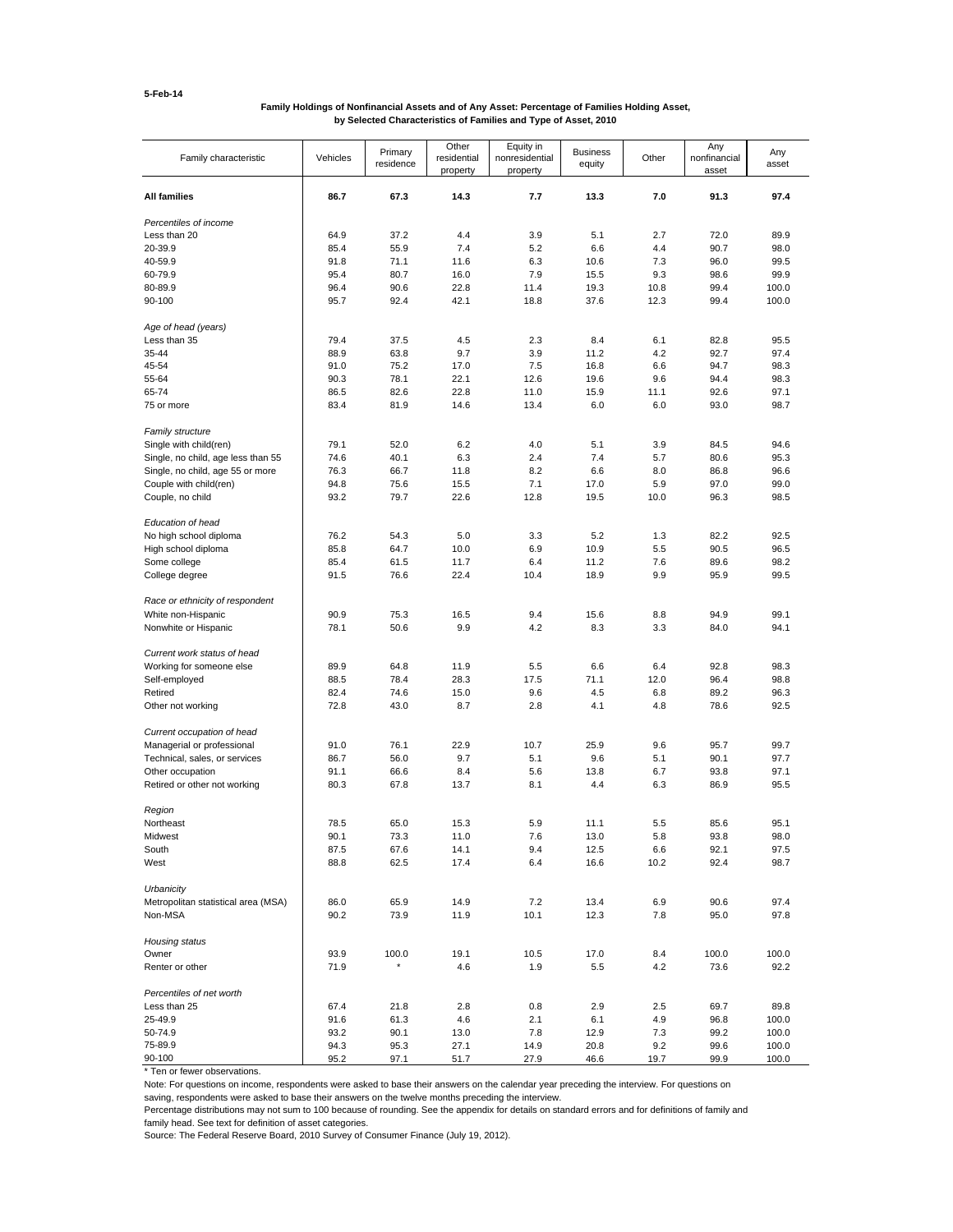### **Family Holdings of Nonfinancial Assets and of Any Asset: Percentage of Families Holding Asset, by Selected Characteristics of Families and Type of Asset, 2010**

| Family characteristic                      | Vehicles     | Primary<br>residence | Other<br>residential<br>property | Equity in<br>nonresidential<br>property | <b>Business</b><br>equity | Other      | Any<br>nonfinancial<br>asset | Any<br>asset  |
|--------------------------------------------|--------------|----------------------|----------------------------------|-----------------------------------------|---------------------------|------------|------------------------------|---------------|
| <b>All families</b>                        | 86.7         | 67.3                 | 14.3                             | 7.7                                     | 13.3                      | 7.0        | 91.3                         | 97.4          |
| Percentiles of income                      |              |                      |                                  |                                         |                           |            |                              |               |
| Less than 20                               | 64.9         | 37.2                 | 4.4                              | 3.9                                     | 5.1                       | 2.7        | 72.0                         | 89.9          |
| 20-39.9                                    | 85.4         | 55.9                 | 7.4                              | 5.2                                     | 6.6                       | 4.4        | 90.7                         | 98.0          |
| 40-59.9                                    | 91.8         | 71.1                 | 11.6                             | 6.3                                     | 10.6                      | 7.3        | 96.0                         | 99.5          |
| 60-79.9                                    | 95.4         | 80.7                 | 16.0                             | 7.9                                     | 15.5                      | 9.3        | 98.6                         | 99.9          |
| 80-89.9                                    | 96.4         | 90.6                 | 22.8                             | 11.4                                    | 19.3                      | 10.8       | 99.4                         | 100.0         |
| 90-100                                     | 95.7         | 92.4                 | 42.1                             | 18.8                                    | 37.6                      | 12.3       | 99.4                         | 100.0         |
| Age of head (years)                        |              |                      |                                  |                                         |                           |            |                              |               |
| Less than 35                               | 79.4         | 37.5                 | 4.5                              | 2.3                                     | 8.4                       | 6.1        | 82.8                         | 95.5          |
| 35-44                                      | 88.9         | 63.8                 | 9.7                              | 3.9                                     | 11.2                      | 4.2        | 92.7                         | 97.4          |
| 45-54                                      | 91.0         | 75.2                 | 17.0                             | 7.5                                     | 16.8                      | 6.6        | 94.7                         | 98.3          |
| 55-64                                      | 90.3         | 78.1                 | 22.1                             | 12.6                                    | 19.6                      | 9.6        | 94.4                         | 98.3          |
| 65-74                                      | 86.5         | 82.6                 | 22.8                             | 11.0                                    | 15.9                      | 11.1       | 92.6                         | 97.1          |
| 75 or more                                 | 83.4         | 81.9                 | 14.6                             | 13.4                                    | 6.0                       | 6.0        | 93.0                         | 98.7          |
| <b>Family structure</b>                    |              |                      |                                  |                                         |                           |            |                              |               |
| Single with child(ren)                     | 79.1         | 52.0                 | 6.2                              | 4.0                                     | 5.1                       | 3.9        | 84.5                         | 94.6          |
| Single, no child, age less than 55         | 74.6         | 40.1                 | 6.3                              | 2.4                                     | 7.4                       | 5.7        | 80.6                         | 95.3          |
| Single, no child, age 55 or more           | 76.3         | 66.7                 | 11.8                             | 8.2                                     | 6.6                       | 8.0        | 86.8                         | 96.6          |
| Couple with child(ren)                     | 94.8         | 75.6                 | 15.5                             | 7.1                                     | 17.0                      | 5.9        | 97.0                         | 99.0          |
| Couple, no child                           | 93.2         | 79.7                 | 22.6                             | 12.8                                    | 19.5                      | 10.0       | 96.3                         | 98.5          |
| Education of head                          |              |                      |                                  |                                         |                           |            |                              |               |
| No high school diploma                     | 76.2         | 54.3                 | 5.0                              | 3.3                                     | 5.2                       | 1.3        | 82.2                         | 92.5          |
| High school diploma                        | 85.8         | 64.7                 | 10.0                             | 6.9                                     | 10.9                      | 5.5        | 90.5                         | 96.5          |
| Some college                               | 85.4         | 61.5                 | 11.7                             | 6.4                                     | 11.2                      | 7.6        | 89.6                         | 98.2          |
| College degree                             | 91.5         | 76.6                 | 22.4                             | 10.4                                    | 18.9                      | 9.9        | 95.9                         | 99.5          |
|                                            |              |                      |                                  |                                         |                           |            |                              |               |
| Race or ethnicity of respondent            |              |                      |                                  |                                         |                           |            |                              |               |
| White non-Hispanic<br>Nonwhite or Hispanic | 90.9<br>78.1 | 75.3<br>50.6         | 16.5<br>9.9                      | 9.4<br>4.2                              | 15.6<br>8.3               | 8.8<br>3.3 | 94.9<br>84.0                 | 99.1<br>94.1  |
|                                            |              |                      |                                  |                                         |                           |            |                              |               |
| Current work status of head                |              |                      |                                  |                                         |                           |            |                              |               |
| Working for someone else                   | 89.9         | 64.8                 | 11.9                             | 5.5                                     | 6.6                       | 6.4        | 92.8                         | 98.3          |
| Self-employed                              | 88.5         | 78.4                 | 28.3                             | 17.5                                    | 71.1                      | 12.0       | 96.4                         | 98.8          |
| Retired                                    | 82.4         | 74.6                 | 15.0                             | 9.6                                     | 4.5                       | 6.8        | 89.2                         | 96.3          |
| Other not working                          | 72.8         | 43.0                 | 8.7                              | 2.8                                     | 4.1                       | 4.8        | 78.6                         | 92.5          |
| Current occupation of head                 |              |                      |                                  |                                         |                           |            |                              |               |
| Managerial or professional                 | 91.0         | 76.1                 | 22.9                             | 10.7                                    | 25.9                      | 9.6        | 95.7                         | 99.7          |
| Technical, sales, or services              | 86.7         | 56.0                 | 9.7                              | 5.1                                     | 9.6                       | 5.1        | 90.1                         | 97.7          |
| Other occupation                           | 91.1         | 66.6                 | 8.4                              | 5.6                                     | 13.8                      | 6.7        | 93.8                         | 97.1          |
| Retired or other not working               | 80.3         | 67.8                 | 13.7                             | 8.1                                     | 4.4                       | 6.3        | 86.9                         | 95.5          |
| Region                                     |              |                      |                                  |                                         |                           |            |                              |               |
| Northeast                                  | 78.5         | 65.0                 | 15.3                             | 5.9                                     | 11.1                      | 5.5        | 85.6                         | 95.1          |
| Midwest                                    | 90.1         | 73.3                 | 11.0                             | 7.6                                     | 13.0                      | 5.8        | 93.8                         | 98.0          |
| South                                      | 87.5         | 67.6                 | 14.1                             | 9.4                                     | 12.5                      | 6.6        | 92.1                         | 97.5          |
| West                                       | 88.8         | 62.5                 | 17.4                             | 6.4                                     | 16.6                      | 10.2       | 92.4                         | 98.7          |
| Urbanicity                                 |              |                      |                                  |                                         |                           |            |                              |               |
| Metropolitan statistical area (MSA)        | 86.0         | 65.9                 | 14.9                             | 7.2                                     | 13.4                      | 6.9        | 90.6                         | 97.4          |
| Non-MSA                                    | 90.2         | 73.9                 | 11.9                             | 10.1                                    | 12.3                      | 7.8        | 95.0                         | 97.8          |
|                                            |              |                      |                                  |                                         |                           |            |                              |               |
| Housing status                             |              |                      |                                  |                                         |                           |            |                              |               |
| Owner<br>Renter or other                   | 93.9<br>71.9 | 100.0                | 19.1<br>4.6                      | 10.5<br>1.9                             | 17.0                      | 8.4<br>4.2 | 100.0                        | 100.0<br>92.2 |
|                                            |              |                      |                                  |                                         | 5.5                       |            | 73.6                         |               |
| Percentiles of net worth                   |              |                      |                                  |                                         |                           |            |                              |               |
| Less than 25                               | 67.4         | 21.8                 | 2.8                              | 0.8                                     | 2.9                       | 2.5        | 69.7                         | 89.8          |
| 25-49.9                                    | 91.6         | 61.3                 | 4.6                              | 2.1                                     | 6.1                       | 4.9        | 96.8                         | 100.0         |
| 50-74.9                                    | 93.2         | 90.1                 | 13.0                             | 7.8                                     | 12.9                      | 7.3        | 99.2                         | 100.0         |
| 75-89.9                                    | 94.3         | 95.3                 | 27.1                             | 14.9                                    | 20.8                      | 9.2        | 99.6                         | 100.0         |
| 90-100                                     | 95.2         | 97.1                 | 51.7                             | 27.9                                    | 46.6                      | 19.7       | 99.9                         | 100.0         |

\* Ten or fewer observations.

Note: For questions on income, respondents were asked to base their answers on the calendar year preceding the interview. For questions on

saving, respondents were asked to base their answers on the twelve months preceding the interview.

Percentage distributions may not sum to 100 because of rounding. See the appendix for details on standard errors and for definitions of family and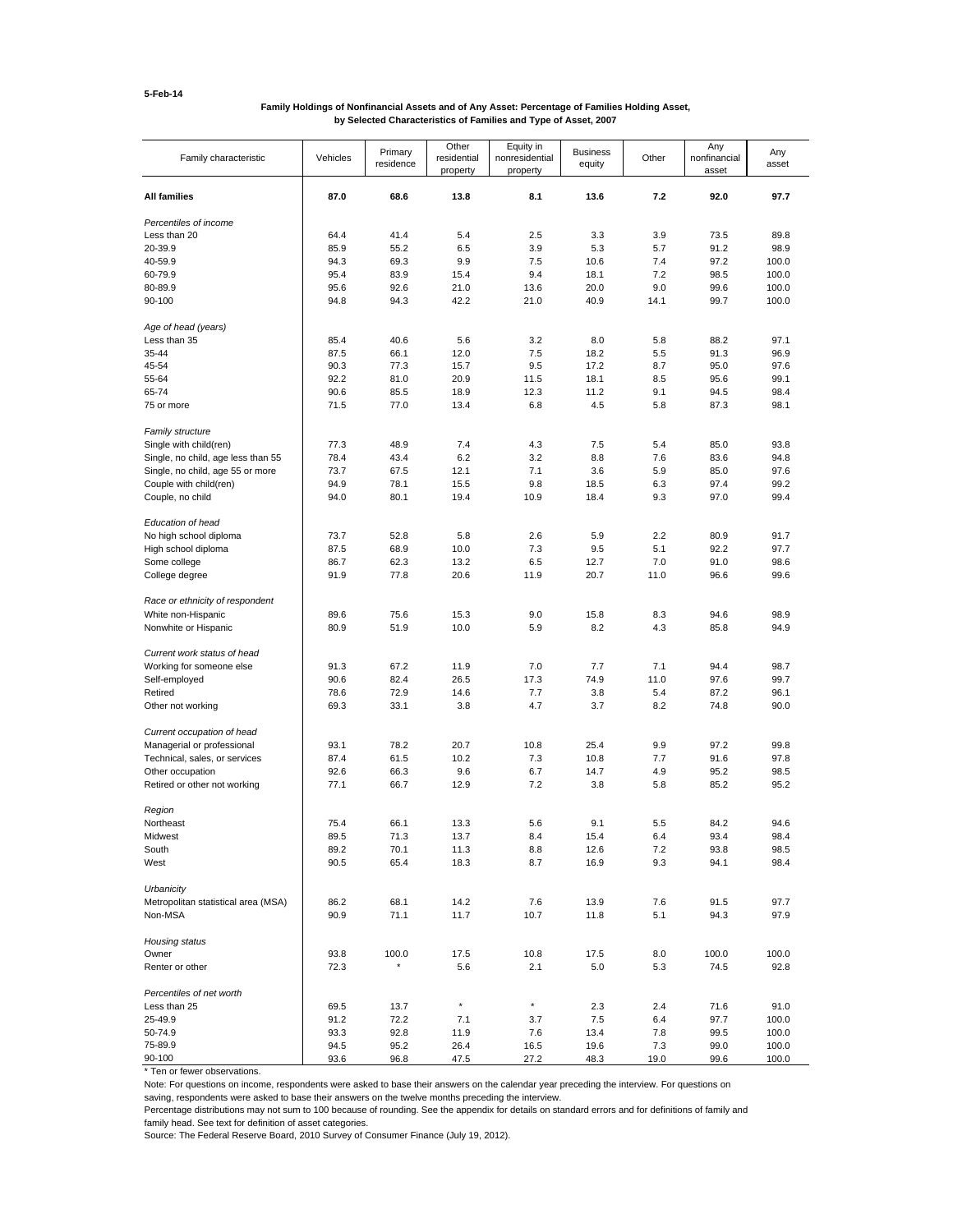### **Family Holdings of Nonfinancial Assets and of Any Asset: Percentage of Families Holding Asset, by Selected Characteristics of Families and Type of Asset, 2007**

| Family characteristic               | Vehicles     | Primary<br>residence | Other<br>residential<br>property | Equity in<br>nonresidential<br>property | <b>Business</b><br>equity | Other      | Any<br>nonfinancial<br>asset | Any<br>asset  |
|-------------------------------------|--------------|----------------------|----------------------------------|-----------------------------------------|---------------------------|------------|------------------------------|---------------|
| <b>All families</b>                 | 87.0         | 68.6                 | 13.8                             | 8.1                                     | 13.6                      | 7.2        | 92.0                         | 97.7          |
| Percentiles of income               |              |                      |                                  |                                         |                           |            |                              |               |
| Less than 20                        | 64.4         | 41.4                 | 5.4                              | 2.5                                     | 3.3                       | 3.9        | 73.5                         | 89.8          |
| 20-39.9                             | 85.9         | 55.2                 | 6.5                              | 3.9                                     | 5.3                       | 5.7        | 91.2                         | 98.9          |
| 40-59.9                             | 94.3         | 69.3                 | 9.9                              | 7.5                                     | 10.6                      | 7.4        | 97.2                         | 100.0         |
| 60-79.9                             | 95.4         | 83.9                 | 15.4                             | 9.4                                     | 18.1                      | 7.2        | 98.5                         | 100.0         |
| 80-89.9                             | 95.6         | 92.6                 | 21.0                             | 13.6                                    | 20.0                      | 9.0        | 99.6                         | 100.0         |
| 90-100                              | 94.8         | 94.3                 | 42.2                             | 21.0                                    | 40.9                      | 14.1       | 99.7                         | 100.0         |
| Age of head (years)                 |              |                      |                                  |                                         |                           |            |                              |               |
| Less than 35                        | 85.4         | 40.6                 | 5.6                              | 3.2                                     | 8.0                       | 5.8        | 88.2                         | 97.1          |
| 35-44                               | 87.5         | 66.1                 | 12.0                             | 7.5                                     | 18.2                      | 5.5        | 91.3                         | 96.9          |
| 45-54                               | 90.3         | 77.3                 | 15.7                             | 9.5                                     | 17.2                      | 8.7        | 95.0                         | 97.6          |
| 55-64                               | 92.2         | 81.0                 | 20.9                             | 11.5                                    | 18.1                      | 8.5        | 95.6                         | 99.1          |
| 65-74                               | 90.6         | 85.5                 | 18.9                             | 12.3                                    | 11.2                      | 9.1        | 94.5                         | 98.4          |
| 75 or more                          | 71.5         | 77.0                 | 13.4                             | 6.8                                     | 4.5                       | 5.8        | 87.3                         | 98.1          |
| Family structure                    |              |                      |                                  |                                         |                           |            |                              |               |
| Single with child(ren)              | 77.3         | 48.9                 | 7.4                              | 4.3                                     | 7.5                       | 5.4        | 85.0                         | 93.8          |
| Single, no child, age less than 55  | 78.4         | 43.4                 | 6.2                              | 3.2                                     | 8.8                       | 7.6        | 83.6                         | 94.8          |
| Single, no child, age 55 or more    | 73.7         | 67.5                 | 12.1                             | 7.1                                     | 3.6                       | 5.9        | 85.0                         | 97.6          |
| Couple with child(ren)              | 94.9         | 78.1                 | 15.5                             | 9.8                                     | 18.5                      | 6.3        | 97.4                         | 99.2          |
| Couple, no child                    | 94.0         | 80.1                 | 19.4                             | 10.9                                    | 18.4                      | 9.3        | 97.0                         | 99.4          |
| Education of head                   |              |                      |                                  |                                         |                           |            |                              |               |
| No high school diploma              | 73.7         | 52.8                 | 5.8                              | 2.6                                     | 5.9                       | 2.2        | 80.9                         | 91.7          |
| High school diploma                 | 87.5         | 68.9                 | 10.0                             | 7.3                                     | 9.5                       | 5.1        | 92.2                         | 97.7          |
| Some college                        | 86.7         | 62.3                 | 13.2                             | 6.5                                     | 12.7                      | 7.0        | 91.0                         | 98.6          |
| College degree                      | 91.9         | 77.8                 | 20.6                             | 11.9                                    | 20.7                      | 11.0       | 96.6                         | 99.6          |
| Race or ethnicity of respondent     |              |                      |                                  |                                         |                           |            |                              |               |
| White non-Hispanic                  | 89.6         | 75.6                 | 15.3                             | 9.0                                     | 15.8                      | 8.3        | 94.6                         | 98.9          |
| Nonwhite or Hispanic                | 80.9         | 51.9                 | 10.0                             | 5.9                                     | 8.2                       | 4.3        | 85.8                         | 94.9          |
| Current work status of head         |              |                      |                                  |                                         |                           |            |                              |               |
| Working for someone else            | 91.3         | 67.2                 | 11.9                             | 7.0                                     | 7.7                       | 7.1        | 94.4                         | 98.7          |
| Self-employed                       | 90.6         | 82.4                 | 26.5                             | 17.3                                    | 74.9                      | 11.0       | 97.6                         | 99.7          |
| Retired                             | 78.6         | 72.9                 | 14.6                             | 7.7                                     | 3.8                       | 5.4        | 87.2                         | 96.1          |
| Other not working                   | 69.3         | 33.1                 | 3.8                              | 4.7                                     | 3.7                       | 8.2        | 74.8                         | 90.0          |
| Current occupation of head          |              |                      |                                  |                                         |                           |            |                              |               |
| Managerial or professional          | 93.1         | 78.2                 | 20.7                             | 10.8                                    | 25.4                      | 9.9        | 97.2                         | 99.8          |
| Technical, sales, or services       | 87.4         | 61.5                 | 10.2                             | 7.3                                     | 10.8                      | 7.7        | 91.6                         | 97.8          |
| Other occupation                    | 92.6         | 66.3                 | 9.6                              | 6.7                                     | 14.7                      | 4.9        | 95.2                         | 98.5          |
| Retired or other not working        | 77.1         | 66.7                 | 12.9                             | 7.2                                     | 3.8                       | 5.8        | 85.2                         | 95.2          |
| Region                              |              |                      |                                  |                                         |                           |            |                              |               |
| Northeast                           | 75.4         | 66.1                 | 13.3                             | 5.6                                     | 9.1                       | 5.5        | 84.2                         | 94.6          |
| Midwest                             | 89.5         | 71.3                 | 13.7                             | 8.4                                     | 15.4                      | 6.4        | 93.4                         | 98.4          |
| South                               | 89.2         | 70.1                 | 11.3                             | 8.8                                     | 12.6                      | 7.2        | 93.8                         | 98.5          |
| West                                | 90.5         | 65.4                 | 18.3                             | 8.7                                     | 16.9                      | 9.3        | 94.1                         | 98.4          |
| Urbanicity                          |              |                      |                                  |                                         |                           |            |                              |               |
| Metropolitan statistical area (MSA) | 86.2         | 68.1                 | 14.2                             | 7.6                                     | 13.9                      | 7.6        | 91.5                         | 97.7          |
| Non-MSA                             | 90.9         | 71.1                 | 11.7                             | 10.7                                    | 11.8                      | 5.1        | 94.3                         | 97.9          |
|                                     |              |                      |                                  |                                         |                           |            |                              |               |
| Housing status                      |              |                      |                                  |                                         |                           |            |                              |               |
| Owner<br>Renter or other            | 93.8<br>72.3 | 100.0                | 17.5<br>5.6                      | 10.8<br>2.1                             | 17.5<br>5.0               | 8.0<br>5.3 | 100.0<br>74.5                | 100.0<br>92.8 |
|                                     |              |                      |                                  |                                         |                           |            |                              |               |
| Percentiles of net worth            |              |                      |                                  |                                         |                           |            |                              |               |
| Less than 25                        | 69.5         | 13.7                 | $^\star$                         | $^\star$                                | 2.3                       | 2.4        | 71.6                         | 91.0          |
| 25-49.9                             | 91.2         | 72.2                 | 7.1                              | 3.7                                     | 7.5                       | 6.4        | 97.7                         | 100.0         |
| 50-74.9                             | 93.3         | 92.8                 | 11.9                             | 7.6                                     | 13.4                      | 7.8        | 99.5                         | 100.0         |
| 75-89.9                             | 94.5         | 95.2                 | 26.4                             | 16.5                                    | 19.6                      | 7.3        | 99.0                         | 100.0         |
| 90-100                              | 93.6         | 96.8                 | 47.5                             | 27.2                                    | 48.3                      | 19.0       | 99.6                         | 100.0         |

\* Ten or fewer observations.

Note: For questions on income, respondents were asked to base their answers on the calendar year preceding the interview. For questions on

saving, respondents were asked to base their answers on the twelve months preceding the interview.

Percentage distributions may not sum to 100 because of rounding. See the appendix for details on standard errors and for definitions of family and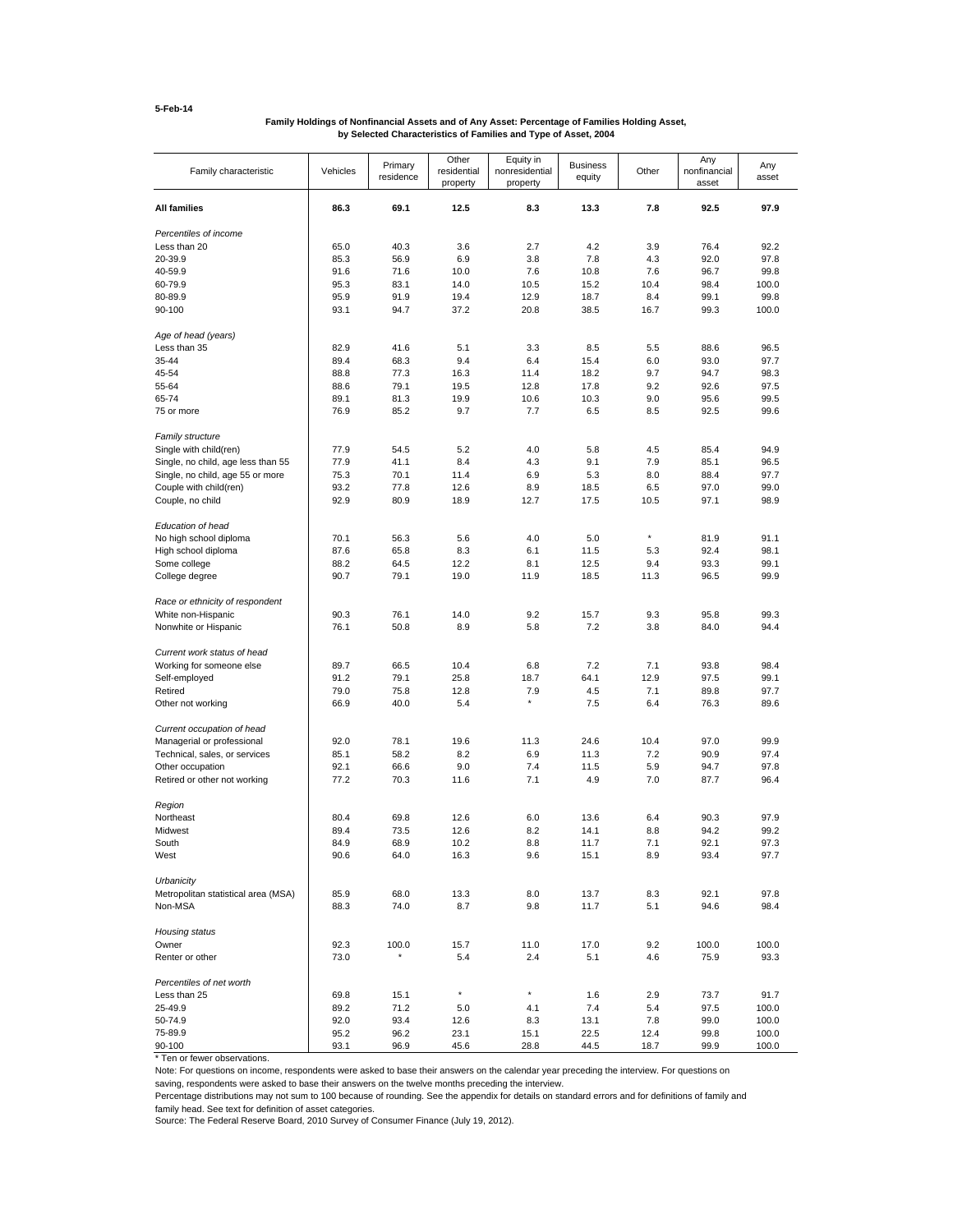# **Family Holdings of Nonfinancial Assets and of Any Asset: Percentage of Families Holding Asset, by Selected Characteristics of Families and Type of Asset, 2004**

| Family characteristic               | Vehicles     | Primary<br>residence | Other<br>residential<br>property | Equity in<br>nonresidential<br>property | <b>Business</b><br>equity | Other       | Any<br>nonfinancial<br>asset | Any<br>asset |
|-------------------------------------|--------------|----------------------|----------------------------------|-----------------------------------------|---------------------------|-------------|------------------------------|--------------|
| <b>All families</b>                 | 86.3         | 69.1                 | 12.5                             | 8.3                                     | 13.3                      | 7.8         | 92.5                         | 97.9         |
| Percentiles of income               |              |                      |                                  |                                         |                           |             |                              |              |
| Less than 20                        | 65.0         | 40.3                 | 3.6                              | 2.7                                     | 4.2                       | 3.9         | 76.4                         | 92.2         |
| 20-39.9                             | 85.3         | 56.9                 | 6.9                              | 3.8                                     | 7.8                       | 4.3         | 92.0                         | 97.8         |
| 40-59.9                             | 91.6         | 71.6                 | 10.0                             | 7.6                                     | 10.8                      | 7.6         | 96.7                         | 99.8         |
| 60-79.9                             | 95.3         | 83.1                 | 14.0                             | 10.5                                    | 15.2                      | 10.4        | 98.4                         | 100.0        |
| 80-89.9                             | 95.9         | 91.9                 | 19.4                             | 12.9                                    | 18.7                      | 8.4         | 99.1                         | 99.8         |
| 90-100                              | 93.1         | 94.7                 | 37.2                             | 20.8                                    | 38.5                      | 16.7        | 99.3                         | 100.0        |
| Age of head (years)                 |              |                      |                                  |                                         |                           |             |                              |              |
| Less than 35                        | 82.9         | 41.6                 | 5.1                              | 3.3                                     | 8.5                       | 5.5         | 88.6                         | 96.5         |
| 35-44                               | 89.4         | 68.3                 | 9.4                              | 6.4                                     | 15.4                      | 6.0         | 93.0                         | 97.7         |
| 45-54                               | 88.8         | 77.3                 | 16.3                             | 11.4                                    | 18.2                      | 9.7         | 94.7                         | 98.3         |
| 55-64                               | 88.6         | 79.1                 | 19.5                             | 12.8                                    | 17.8                      | 9.2         | 92.6                         | 97.5         |
| 65-74                               | 89.1         | 81.3                 | 19.9                             | 10.6                                    | 10.3                      | 9.0         | 95.6                         | 99.5         |
| 75 or more                          | 76.9         | 85.2                 | 9.7                              | 7.7                                     | 6.5                       | 8.5         | 92.5                         | 99.6         |
| <b>Family structure</b>             |              |                      |                                  |                                         |                           |             |                              |              |
| Single with child(ren)              | 77.9         | 54.5                 | 5.2                              | 4.0                                     | 5.8                       | 4.5         | 85.4                         | 94.9         |
| Single, no child, age less than 55  | 77.9         | 41.1                 | 8.4                              | 4.3                                     | 9.1                       | 7.9         | 85.1                         | 96.5         |
| Single, no child, age 55 or more    | 75.3         | 70.1                 | 11.4                             | 6.9                                     | 5.3                       | 8.0         | 88.4                         | 97.7         |
| Couple with child(ren)              | 93.2<br>92.9 | 77.8<br>80.9         | 12.6<br>18.9                     | 8.9<br>12.7                             | 18.5<br>17.5              | 6.5<br>10.5 | 97.0<br>97.1                 | 99.0<br>98.9 |
| Couple, no child                    |              |                      |                                  |                                         |                           |             |                              |              |
| Education of head                   |              |                      |                                  |                                         |                           |             |                              |              |
| No high school diploma              | 70.1         | 56.3                 | 5.6                              | 4.0                                     | 5.0                       | $\star$     | 81.9                         | 91.1         |
| High school diploma                 | 87.6         | 65.8                 | 8.3                              | 6.1                                     | 11.5                      | 5.3         | 92.4                         | 98.1         |
| Some college                        | 88.2         | 64.5                 | 12.2                             | 8.1                                     | 12.5                      | 9.4         | 93.3                         | 99.1         |
| College degree                      | 90.7         | 79.1                 | 19.0                             | 11.9                                    | 18.5                      | 11.3        | 96.5                         | 99.9         |
| Race or ethnicity of respondent     |              |                      |                                  |                                         |                           |             |                              |              |
| White non-Hispanic                  | 90.3         | 76.1                 | 14.0                             | 9.2                                     | 15.7                      | 9.3         | 95.8                         | 99.3         |
| Nonwhite or Hispanic                | 76.1         | 50.8                 | 8.9                              | 5.8                                     | 7.2                       | 3.8         | 84.0                         | 94.4         |
| Current work status of head         |              |                      |                                  |                                         |                           |             |                              |              |
| Working for someone else            | 89.7         | 66.5                 | 10.4                             | 6.8                                     | 7.2                       | 7.1         | 93.8                         | 98.4         |
| Self-employed                       | 91.2         | 79.1                 | 25.8                             | 18.7                                    | 64.1                      | 12.9        | 97.5                         | 99.1         |
| Retired                             | 79.0         | 75.8                 | 12.8                             | 7.9                                     | 4.5                       | 7.1         | 89.8                         | 97.7         |
| Other not working                   | 66.9         | 40.0                 | 5.4                              | $\star$                                 | 7.5                       | 6.4         | 76.3                         | 89.6         |
| Current occupation of head          |              |                      |                                  |                                         |                           |             |                              |              |
| Managerial or professional          | 92.0         | 78.1                 | 19.6                             | 11.3                                    | 24.6                      | 10.4        | 97.0                         | 99.9         |
| Technical, sales, or services       | 85.1         | 58.2                 | 8.2                              | 6.9                                     | 11.3                      | 7.2         | 90.9                         | 97.4         |
| Other occupation                    | 92.1         | 66.6                 | 9.0                              | 7.4                                     | 11.5                      | 5.9         | 94.7                         | 97.8         |
| Retired or other not working        | 77.2         | 70.3                 | 11.6                             | 7.1                                     | 4.9                       | 7.0         | 87.7                         | 96.4         |
| Region                              |              |                      |                                  |                                         |                           |             |                              |              |
| Northeast                           | 80.4         | 69.8                 | 12.6                             | 6.0                                     | 13.6                      | 6.4         | 90.3                         | 97.9         |
| Midwest                             | 89.4         | 73.5                 | 12.6                             | 8.2                                     | 14.1                      | 8.8         | 94.2                         | 99.2         |
| South                               | 84.9         | 68.9                 | 10.2                             | 8.8                                     | 11.7                      | 7.1         | 92.1                         | 97.3         |
| West                                | 90.6         | 64.0                 | 16.3                             | 9.6                                     | 15.1                      | 8.9         | 93.4                         | 97.7         |
| Urbanicity                          |              |                      |                                  |                                         |                           |             |                              |              |
| Metropolitan statistical area (MSA) | 85.9         | 68.0                 | 13.3                             | 8.0                                     | 13.7                      | 8.3         | 92.1                         | 97.8         |
| Non-MSA                             | 88.3         | 74.0                 | 8.7                              | 9.8                                     | 11.7                      | 5.1         | 94.6                         | 98.4         |
| Housing status                      |              |                      |                                  |                                         |                           |             |                              |              |
| Owner                               | 92.3         | 100.0                | 15.7                             | 11.0                                    | 17.0                      | 9.2         | 100.0                        | 100.0        |
| Renter or other                     | 73.0         | $\star$              | 5.4                              | 2.4                                     | 5.1                       | 4.6         | 75.9                         | 93.3         |
| Percentiles of net worth            |              |                      |                                  |                                         |                           |             |                              |              |
| Less than 25                        | 69.8         | 15.1                 | $^\star$                         | $^\star$                                | 1.6                       | 2.9         | 73.7                         | 91.7         |
| 25-49.9                             | 89.2         | 71.2                 | 5.0                              | 4.1                                     | 7.4                       | 5.4         | 97.5                         | 100.0        |
| 50-74.9                             | 92.0         | 93.4                 | 12.6                             | 8.3                                     | 13.1                      | 7.8         | 99.0                         | 100.0        |
| 75-89.9                             | 95.2         | 96.2                 | 23.1                             | 15.1                                    | 22.5                      | 12.4        | 99.8                         | 100.0        |
| 90-100                              | 93.1         | 96.9                 | 45.6                             | 28.8                                    | 44.5                      | 18.7        | 99.9                         | 100.0        |

\* Ten or fewer observations.

Note: For questions on income, respondents were asked to base their answers on the calendar year preceding the interview. For questions on

saving, respondents were asked to base their answers on the twelve months preceding the interview.

Percentage distributions may not sum to 100 because of rounding. See the appendix for details on standard errors and for definitions of family and

family head. See text for definition of asset categories.

Source: The Federal Reserve Board, 2010 Survey of Consumer Finance (July 19, 2012).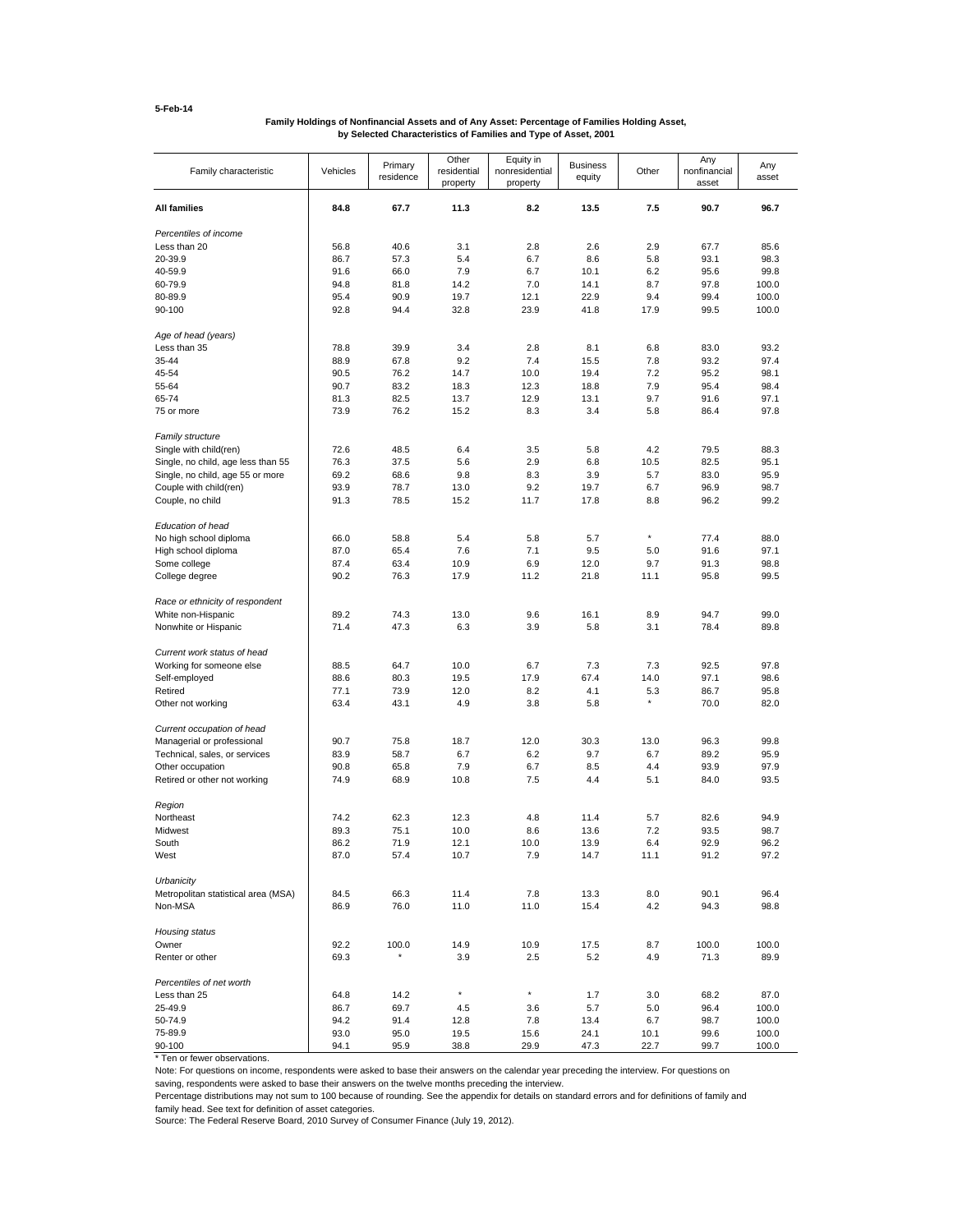# **Family Holdings of Nonfinancial Assets and of Any Asset: Percentage of Families Holding Asset, by Selected Characteristics of Families and Type of Asset, 2001**

| Family characteristic                                 | Vehicles     | Primary<br>residence | Other<br>residential<br>property | Equity in<br>nonresidential<br>property | <b>Business</b><br>equity | Other          | Any<br>nonfinancial<br>asset | Any<br>asset   |
|-------------------------------------------------------|--------------|----------------------|----------------------------------|-----------------------------------------|---------------------------|----------------|------------------------------|----------------|
| <b>All families</b>                                   | 84.8         | 67.7                 | 11.3                             | 8.2                                     | 13.5                      | 7.5            | 90.7                         | 96.7           |
| Percentiles of income                                 |              |                      |                                  |                                         |                           |                |                              |                |
| Less than 20                                          | 56.8         | 40.6                 | 3.1                              | 2.8                                     | 2.6                       | 2.9            | 67.7                         | 85.6           |
| 20-39.9                                               | 86.7         | 57.3                 | 5.4                              | 6.7                                     | 8.6                       | 5.8            | 93.1                         | 98.3           |
| 40-59.9                                               | 91.6         | 66.0                 | 7.9                              | 6.7                                     | 10.1                      | 6.2            | 95.6                         | 99.8           |
| 60-79.9                                               | 94.8         | 81.8                 | 14.2                             | 7.0                                     | 14.1                      | 8.7            | 97.8                         | 100.0          |
| 80-89.9                                               | 95.4         | 90.9                 | 19.7                             | 12.1                                    | 22.9                      | 9.4            | 99.4                         | 100.0          |
| 90-100                                                | 92.8         | 94.4                 | 32.8                             | 23.9                                    | 41.8                      | 17.9           | 99.5                         | 100.0          |
| Age of head (years)                                   |              |                      |                                  |                                         |                           |                |                              |                |
| Less than 35                                          | 78.8         | 39.9                 | 3.4                              | 2.8                                     | 8.1                       | 6.8            | 83.0                         | 93.2           |
| 35-44                                                 | 88.9         | 67.8                 | 9.2                              | 7.4                                     | 15.5                      | 7.8            | 93.2                         | 97.4           |
| 45-54                                                 | 90.5         | 76.2                 | 14.7                             | 10.0                                    | 19.4                      | 7.2            | 95.2                         | 98.1           |
| 55-64                                                 | 90.7         | 83.2                 | 18.3                             | 12.3                                    | 18.8                      | 7.9            | 95.4                         | 98.4           |
| 65-74                                                 | 81.3         | 82.5                 | 13.7                             | 12.9                                    | 13.1                      | 9.7            | 91.6                         | 97.1           |
| 75 or more                                            | 73.9         | 76.2                 | 15.2                             | 8.3                                     | 3.4                       | 5.8            | 86.4                         | 97.8           |
| <b>Family structure</b>                               |              |                      |                                  |                                         |                           |                |                              |                |
| Single with child(ren)                                | 72.6         | 48.5                 | 6.4                              | 3.5                                     | 5.8                       | 4.2            | 79.5                         | 88.3           |
| Single, no child, age less than 55                    | 76.3         | 37.5                 | 5.6                              | 2.9                                     | 6.8                       | 10.5           | 82.5                         | 95.1           |
| Single, no child, age 55 or more                      | 69.2         | 68.6                 | 9.8                              | 8.3                                     | 3.9                       | 5.7            | 83.0                         | 95.9           |
| Couple with child(ren)                                | 93.9         | 78.7                 | 13.0                             | 9.2                                     | 19.7                      | 6.7            | 96.9                         | 98.7           |
| Couple, no child                                      | 91.3         | 78.5                 | 15.2                             | 11.7                                    | 17.8                      | 8.8            | 96.2                         | 99.2           |
| Education of head                                     |              |                      |                                  |                                         |                           |                |                              |                |
| No high school diploma                                | 66.0         | 58.8                 | 5.4                              | 5.8                                     | 5.7                       | $\star$        | 77.4                         | 88.0           |
| High school diploma                                   | 87.0         | 65.4                 | 7.6                              | 7.1                                     | 9.5                       | 5.0            | 91.6                         | 97.1           |
| Some college                                          | 87.4         | 63.4                 | 10.9                             | 6.9                                     | 12.0                      | 9.7            | 91.3                         | 98.8           |
| College degree                                        | 90.2         | 76.3                 | 17.9                             | 11.2                                    | 21.8                      | 11.1           | 95.8                         | 99.5           |
|                                                       |              |                      |                                  |                                         |                           |                |                              |                |
| Race or ethnicity of respondent<br>White non-Hispanic | 89.2         | 74.3                 | 13.0                             | 9.6                                     | 16.1                      | 8.9            | 94.7                         | 99.0           |
| Nonwhite or Hispanic                                  | 71.4         | 47.3                 | 6.3                              | 3.9                                     | 5.8                       | 3.1            | 78.4                         | 89.8           |
|                                                       |              |                      |                                  |                                         |                           |                |                              |                |
| Current work status of head                           |              |                      |                                  |                                         |                           |                |                              |                |
| Working for someone else                              | 88.5         | 64.7                 | 10.0                             | 6.7                                     | 7.3                       | 7.3            | 92.5                         | 97.8           |
| Self-employed                                         | 88.6         | 80.3                 | 19.5                             | 17.9                                    | 67.4                      | 14.0           | 97.1                         | 98.6           |
| Retired                                               | 77.1         | 73.9                 | 12.0                             | 8.2                                     | 4.1                       | 5.3<br>$\star$ | 86.7                         | 95.8           |
| Other not working                                     | 63.4         | 43.1                 | 4.9                              | 3.8                                     | 5.8                       |                | 70.0                         | 82.0           |
| Current occupation of head                            |              |                      |                                  |                                         |                           |                |                              |                |
| Managerial or professional                            | 90.7         | 75.8                 | 18.7                             | 12.0                                    | 30.3                      | 13.0           | 96.3                         | 99.8           |
| Technical, sales, or services                         | 83.9         | 58.7                 | 6.7                              | 6.2                                     | 9.7                       | 6.7            | 89.2                         | 95.9           |
| Other occupation                                      | 90.8         | 65.8                 | 7.9                              | 6.7                                     | 8.5                       | 4.4            | 93.9                         | 97.9           |
| Retired or other not working                          | 74.9         | 68.9                 | 10.8                             | 7.5                                     | 4.4                       | 5.1            | 84.0                         | 93.5           |
| Region                                                |              |                      |                                  |                                         |                           |                |                              |                |
| Northeast                                             | 74.2         | 62.3                 | 12.3                             | 4.8                                     | 11.4                      | 5.7            | 82.6                         | 94.9           |
| Midwest                                               | 89.3         | 75.1                 | 10.0                             | 8.6                                     | 13.6                      | 7.2            | 93.5                         | 98.7           |
| South                                                 | 86.2         | 71.9                 | 12.1                             | 10.0                                    | 13.9                      | 6.4            | 92.9                         | 96.2           |
| West                                                  | 87.0         | 57.4                 | 10.7                             | 7.9                                     | 14.7                      | 11.1           | 91.2                         | 97.2           |
| Urbanicity                                            |              |                      |                                  |                                         |                           |                |                              |                |
| Metropolitan statistical area (MSA)                   | 84.5         | 66.3                 | 11.4                             | 7.8                                     | 13.3                      | 8.0            | 90.1                         | 96.4           |
| Non-MSA                                               | 86.9         | 76.0                 | 11.0                             | 11.0                                    | 15.4                      | 4.2            | 94.3                         | 98.8           |
| Housing status                                        |              |                      |                                  |                                         |                           |                |                              |                |
| Owner                                                 | 92.2         | 100.0                | 14.9                             | 10.9                                    | 17.5                      | 8.7            | 100.0                        | 100.0          |
| Renter or other                                       | 69.3         |                      | 3.9                              | 2.5                                     | 5.2                       | 4.9            | 71.3                         | 89.9           |
|                                                       |              |                      |                                  |                                         |                           |                |                              |                |
| Percentiles of net worth                              |              |                      | $^\star$                         | $\star$                                 |                           |                |                              |                |
| Less than 25                                          | 64.8         | 14.2                 |                                  |                                         | 1.7                       | 3.0            | 68.2                         | 87.0           |
| 25-49.9                                               | 86.7         | 69.7                 | 4.5                              | 3.6                                     | 5.7                       | 5.0            | 96.4                         | 100.0          |
| 50-74.9<br>75-89.9                                    | 94.2<br>93.0 | 91.4<br>95.0         | 12.8<br>19.5                     | 7.8<br>15.6                             | 13.4<br>24.1              | 6.7<br>10.1    | 98.7<br>99.6                 | 100.0<br>100.0 |
| 90-100                                                | 94.1         | 95.9                 | 38.8                             | 29.9                                    | 47.3                      | 22.7           | 99.7                         | 100.0          |

\* Ten or fewer observations.

Note: For questions on income, respondents were asked to base their answers on the calendar year preceding the interview. For questions on

saving, respondents were asked to base their answers on the twelve months preceding the interview.

Percentage distributions may not sum to 100 because of rounding. See the appendix for details on standard errors and for definitions of family and

family head. See text for definition of asset categories.

Source: The Federal Reserve Board, 2010 Survey of Consumer Finance (July 19, 2012).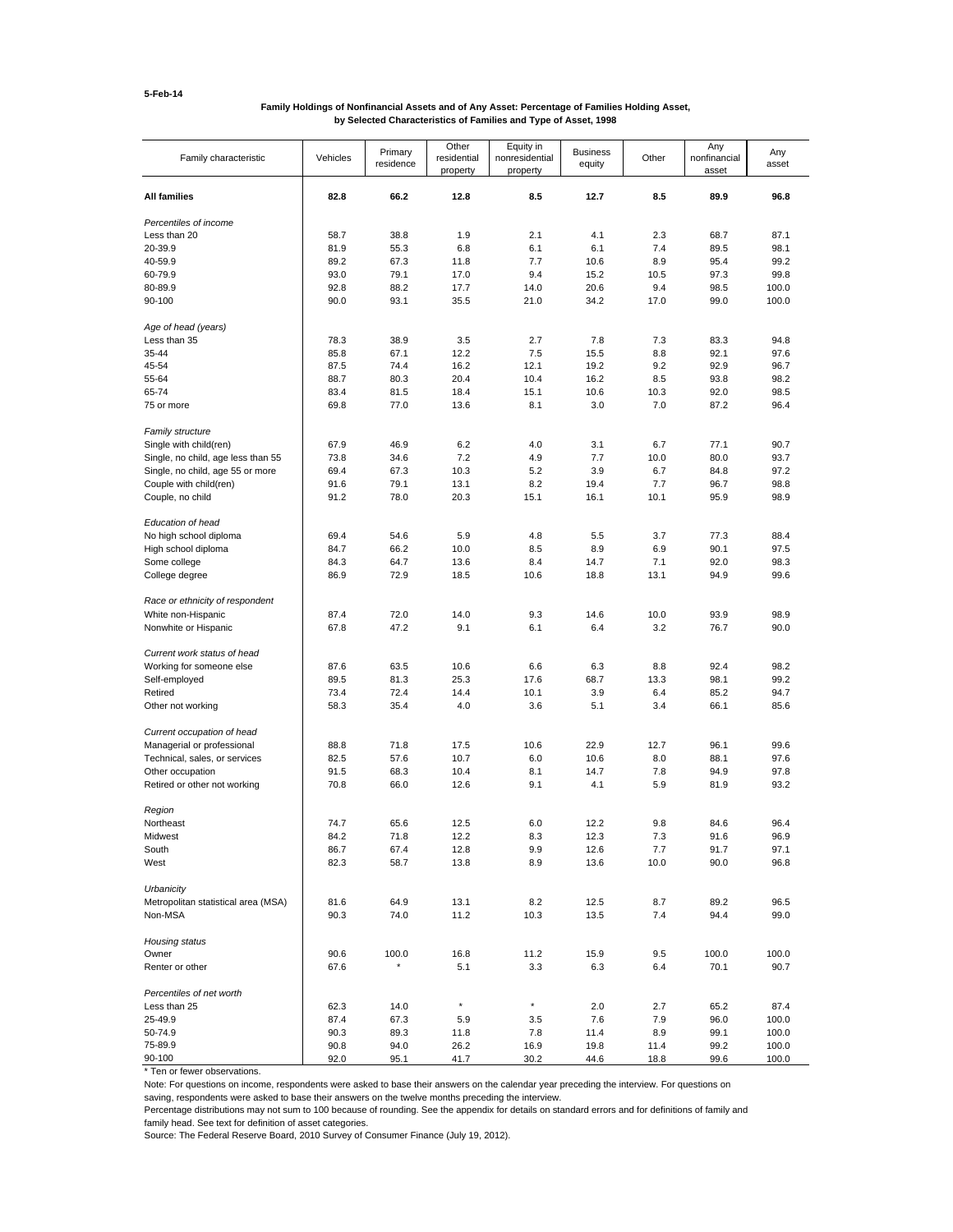### **Family Holdings of Nonfinancial Assets and of Any Asset: Percentage of Families Holding Asset, by Selected Characteristics of Families and Type of Asset, 1998**

| Family characteristic               | Vehicles     | Primary<br>residence | Other<br>residential<br>property | Equity in<br>nonresidential<br>property | <b>Business</b><br>equity | Other       | Any<br>nonfinancial<br>asset | Any<br>asset |
|-------------------------------------|--------------|----------------------|----------------------------------|-----------------------------------------|---------------------------|-------------|------------------------------|--------------|
| <b>All families</b>                 | 82.8         | 66.2                 | 12.8                             | 8.5                                     | 12.7                      | 8.5         | 89.9                         | 96.8         |
| Percentiles of income               |              |                      |                                  |                                         |                           |             |                              |              |
| Less than 20                        | 58.7         | 38.8                 | 1.9                              | 2.1                                     | 4.1                       | 2.3         | 68.7                         | 87.1         |
| 20-39.9                             | 81.9         | 55.3                 | 6.8                              | 6.1                                     | 6.1                       | 7.4         | 89.5                         | 98.1         |
| 40-59.9                             | 89.2         | 67.3                 | 11.8                             | 7.7                                     | 10.6                      | 8.9         | 95.4                         | 99.2         |
| 60-79.9                             | 93.0         | 79.1                 | 17.0                             | 9.4                                     | 15.2                      | 10.5        | 97.3                         | 99.8         |
| 80-89.9                             | 92.8         | 88.2                 | 17.7                             | 14.0                                    | 20.6                      | 9.4         | 98.5                         | 100.0        |
| 90-100                              | 90.0         | 93.1                 | 35.5                             | 21.0                                    | 34.2                      | 17.0        | 99.0                         | 100.0        |
| Age of head (years)                 |              |                      |                                  |                                         |                           |             |                              |              |
| Less than 35                        | 78.3         | 38.9                 | 3.5                              | 2.7                                     | 7.8                       | 7.3         | 83.3                         | 94.8         |
| 35-44                               | 85.8         | 67.1                 | 12.2                             | 7.5                                     | 15.5                      | 8.8         | 92.1                         | 97.6         |
| 45-54                               | 87.5         | 74.4                 | 16.2                             | 12.1                                    | 19.2                      | 9.2         | 92.9                         | 96.7         |
| 55-64                               | 88.7         | 80.3                 | 20.4                             | 10.4                                    | 16.2                      | 8.5         | 93.8                         | 98.2         |
| 65-74                               | 83.4         | 81.5                 | 18.4                             | 15.1                                    | 10.6                      | 10.3        | 92.0                         | 98.5         |
| 75 or more                          | 69.8         | 77.0                 | 13.6                             | 8.1                                     | 3.0                       | 7.0         | 87.2                         | 96.4         |
| Family structure                    |              |                      |                                  |                                         |                           |             |                              |              |
| Single with child(ren)              | 67.9         | 46.9                 | 6.2                              | 4.0                                     | 3.1                       | 6.7         | 77.1                         | 90.7         |
| Single, no child, age less than 55  | 73.8         | 34.6                 | 7.2                              | 4.9                                     | 7.7                       | 10.0        | 80.0                         | 93.7         |
| Single, no child, age 55 or more    | 69.4         | 67.3                 | 10.3                             | 5.2                                     | 3.9                       | 6.7         | 84.8                         | 97.2         |
| Couple with child(ren)              | 91.6         | 79.1                 | 13.1                             | 8.2                                     | 19.4                      | 7.7         | 96.7                         | 98.8         |
| Couple, no child                    | 91.2         | 78.0                 | 20.3                             | 15.1                                    | 16.1                      | 10.1        | 95.9                         | 98.9         |
| Education of head                   |              |                      |                                  |                                         |                           |             |                              |              |
| No high school diploma              | 69.4         | 54.6                 | 5.9                              | 4.8                                     | 5.5                       | 3.7         | 77.3                         | 88.4         |
| High school diploma                 | 84.7         | 66.2                 | 10.0                             | 8.5                                     | 8.9                       | 6.9         | 90.1                         | 97.5         |
|                                     |              |                      |                                  |                                         |                           |             |                              |              |
| Some college<br>College degree      | 84.3<br>86.9 | 64.7<br>72.9         | 13.6<br>18.5                     | 8.4<br>10.6                             | 14.7<br>18.8              | 7.1<br>13.1 | 92.0<br>94.9                 | 98.3<br>99.6 |
|                                     |              |                      |                                  |                                         |                           |             |                              |              |
| Race or ethnicity of respondent     |              |                      |                                  |                                         |                           |             |                              |              |
| White non-Hispanic                  | 87.4         | 72.0                 | 14.0                             | 9.3                                     | 14.6                      | 10.0        | 93.9                         | 98.9         |
| Nonwhite or Hispanic                | 67.8         | 47.2                 | 9.1                              | 6.1                                     | 6.4                       | 3.2         | 76.7                         | 90.0         |
| Current work status of head         |              |                      |                                  |                                         |                           |             |                              |              |
| Working for someone else            | 87.6         | 63.5                 | 10.6                             | 6.6                                     | 6.3                       | 8.8         | 92.4                         | 98.2         |
| Self-employed                       | 89.5         | 81.3                 | 25.3                             | 17.6                                    | 68.7                      | 13.3        | 98.1                         | 99.2         |
| Retired                             | 73.4         | 72.4                 | 14.4                             | 10.1                                    | 3.9                       | 6.4         | 85.2                         | 94.7         |
| Other not working                   | 58.3         | 35.4                 | 4.0                              | 3.6                                     | 5.1                       | 3.4         | 66.1                         | 85.6         |
| Current occupation of head          |              |                      |                                  |                                         |                           |             |                              |              |
| Managerial or professional          | 88.8         | 71.8                 | 17.5                             | 10.6                                    | 22.9                      | 12.7        | 96.1                         | 99.6         |
| Technical, sales, or services       | 82.5         | 57.6                 | 10.7                             | 6.0                                     | 10.6                      | 8.0         | 88.1                         | 97.6         |
| Other occupation                    | 91.5         | 68.3                 | 10.4                             | 8.1                                     | 14.7                      | 7.8         | 94.9                         | 97.8         |
| Retired or other not working        | 70.8         | 66.0                 | 12.6                             | 9.1                                     | 4.1                       | 5.9         | 81.9                         | 93.2         |
| Region                              |              |                      |                                  |                                         |                           |             |                              |              |
| Northeast                           | 74.7         | 65.6                 | 12.5                             | 6.0                                     | 12.2                      | 9.8         | 84.6                         | 96.4         |
| Midwest                             | 84.2         | 71.8                 | 12.2                             | 8.3                                     | 12.3                      | 7.3         | 91.6                         | 96.9         |
| South                               | 86.7         | 67.4                 | 12.8                             | 9.9                                     | 12.6                      | 7.7         | 91.7                         | 97.1         |
| West                                | 82.3         | 58.7                 | 13.8                             | 8.9                                     | 13.6                      | 10.0        | 90.0                         | 96.8         |
| Urbanicity                          |              |                      |                                  |                                         |                           |             |                              |              |
| Metropolitan statistical area (MSA) | 81.6         | 64.9                 | 13.1                             | 8.2                                     | 12.5                      | 8.7         | 89.2                         | 96.5         |
| Non-MSA                             | 90.3         | 74.0                 | 11.2                             | 10.3                                    | 13.5                      | 7.4         | 94.4                         | 99.0         |
| Housing status                      |              |                      |                                  |                                         |                           |             |                              |              |
| Owner                               | 90.6         | 100.0                | 16.8                             | 11.2                                    | 15.9                      | 9.5         | 100.0                        | 100.0        |
| Renter or other                     | 67.6         | $\star$              | 5.1                              | 3.3                                     | 6.3                       | 6.4         | 70.1                         | 90.7         |
|                                     |              |                      |                                  |                                         |                           |             |                              |              |
| Percentiles of net worth            |              |                      | $^\star$                         | $^\star$                                |                           |             |                              |              |
| Less than 25                        | 62.3         | 14.0                 |                                  |                                         | 2.0                       | 2.7         | 65.2                         | 87.4         |
| 25-49.9                             | 87.4         | 67.3                 | 5.9                              | 3.5                                     | 7.6                       | 7.9         | 96.0                         | 100.0        |
| 50-74.9                             | 90.3         | 89.3                 | 11.8                             | 7.8                                     | 11.4                      | 8.9         | 99.1                         | 100.0        |
| 75-89.9                             | 90.8         | 94.0                 | 26.2                             | 16.9                                    | 19.8                      | 11.4        | 99.2                         | 100.0        |
| 90-100                              | 92.0         | 95.1                 | 41.7                             | 30.2                                    | 44.6                      | 18.8        | 99.6                         | 100.0        |

\* Ten or fewer observations.

Note: For questions on income, respondents were asked to base their answers on the calendar year preceding the interview. For questions on

saving, respondents were asked to base their answers on the twelve months preceding the interview.

Percentage distributions may not sum to 100 because of rounding. See the appendix for details on standard errors and for definitions of family and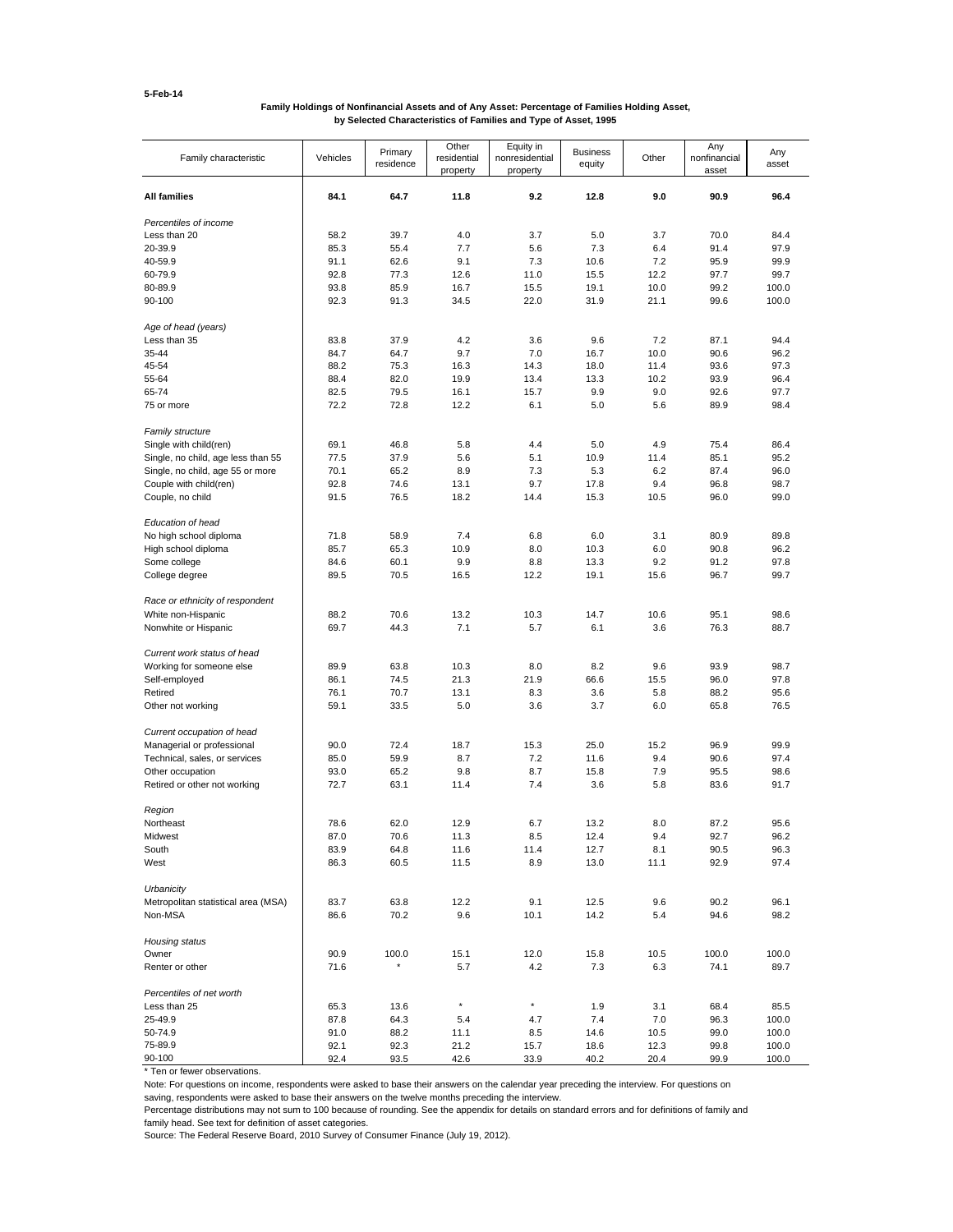### **Family Holdings of Nonfinancial Assets and of Any Asset: Percentage of Families Holding Asset, by Selected Characteristics of Families and Type of Asset, 1995**

| Family characteristic               | Vehicles | Primary<br>residence | Other<br>residential<br>property | Equity in<br>nonresidential<br>property | <b>Business</b><br>equity | Other | Any<br>nonfinancial<br>asset | Any<br>asset |
|-------------------------------------|----------|----------------------|----------------------------------|-----------------------------------------|---------------------------|-------|------------------------------|--------------|
| <b>All families</b>                 | 84.1     | 64.7                 | 11.8                             | 9.2                                     | 12.8                      | 9.0   | 90.9                         | 96.4         |
| Percentiles of income               |          |                      |                                  |                                         |                           |       |                              |              |
| Less than 20                        | 58.2     | 39.7                 | 4.0                              | 3.7                                     | 5.0                       | 3.7   | 70.0                         | 84.4         |
| 20-39.9                             | 85.3     | 55.4                 | 7.7                              | 5.6                                     | 7.3                       | 6.4   | 91.4                         | 97.9         |
| 40-59.9                             | 91.1     | 62.6                 | 9.1                              | 7.3                                     | 10.6                      | 7.2   | 95.9                         | 99.9         |
| 60-79.9                             | 92.8     | 77.3                 | 12.6                             | 11.0                                    | 15.5                      | 12.2  | 97.7                         | 99.7         |
| 80-89.9                             | 93.8     | 85.9                 | 16.7                             | 15.5                                    | 19.1                      | 10.0  | 99.2                         | 100.0        |
| 90-100                              | 92.3     | 91.3                 | 34.5                             | 22.0                                    | 31.9                      | 21.1  | 99.6                         | 100.0        |
| Age of head (years)                 |          |                      |                                  |                                         |                           |       |                              |              |
| Less than 35                        | 83.8     | 37.9                 | 4.2                              | 3.6                                     | 9.6                       | 7.2   | 87.1                         | 94.4         |
| 35-44                               | 84.7     | 64.7                 | 9.7                              | 7.0                                     | 16.7                      | 10.0  | 90.6                         | 96.2         |
| 45-54                               | 88.2     | 75.3                 | 16.3                             | 14.3                                    | 18.0                      | 11.4  | 93.6                         | 97.3         |
| 55-64                               | 88.4     | 82.0                 | 19.9                             | 13.4                                    | 13.3                      | 10.2  | 93.9                         | 96.4         |
| 65-74                               | 82.5     | 79.5                 | 16.1                             | 15.7                                    | 9.9                       | 9.0   | 92.6                         | 97.7         |
| 75 or more                          | 72.2     | 72.8                 | 12.2                             | 6.1                                     | 5.0                       | 5.6   | 89.9                         | 98.4         |
| <b>Family structure</b>             |          |                      |                                  |                                         |                           |       |                              |              |
| Single with child(ren)              | 69.1     | 46.8                 | 5.8                              | 4.4                                     | 5.0                       | 4.9   | 75.4                         | 86.4         |
| Single, no child, age less than 55  | 77.5     | 37.9                 | 5.6                              | 5.1                                     | 10.9                      | 11.4  | 85.1                         | 95.2         |
| Single, no child, age 55 or more    | 70.1     | 65.2                 | 8.9                              | 7.3                                     | 5.3                       | 6.2   | 87.4                         | 96.0         |
| Couple with child(ren)              | 92.8     | 74.6                 | 13.1                             | 9.7                                     | 17.8                      | 9.4   | 96.8                         | 98.7         |
| Couple, no child                    | 91.5     | 76.5                 | 18.2                             | 14.4                                    | 15.3                      | 10.5  | 96.0                         | 99.0         |
| Education of head                   |          |                      |                                  |                                         |                           |       |                              |              |
| No high school diploma              | 71.8     | 58.9                 | 7.4                              | 6.8                                     | 6.0                       | 3.1   | 80.9                         | 89.8         |
| High school diploma                 | 85.7     | 65.3                 | 10.9                             | 8.0                                     | 10.3                      | 6.0   | 90.8                         | 96.2         |
| Some college                        | 84.6     | 60.1                 | 9.9                              | 8.8                                     | 13.3                      | 9.2   | 91.2                         | 97.8         |
| College degree                      | 89.5     | 70.5                 | 16.5                             | 12.2                                    | 19.1                      | 15.6  | 96.7                         | 99.7         |
| Race or ethnicity of respondent     |          |                      |                                  |                                         |                           |       |                              |              |
| White non-Hispanic                  | 88.2     | 70.6                 | 13.2                             | 10.3                                    | 14.7                      | 10.6  | 95.1                         | 98.6         |
| Nonwhite or Hispanic                | 69.7     | 44.3                 | 7.1                              | 5.7                                     | 6.1                       | 3.6   | 76.3                         | 88.7         |
| Current work status of head         |          |                      |                                  |                                         |                           |       |                              |              |
| Working for someone else            | 89.9     | 63.8                 | 10.3                             | 8.0                                     | 8.2                       | 9.6   | 93.9                         | 98.7         |
| Self-employed                       | 86.1     | 74.5                 | 21.3                             | 21.9                                    | 66.6                      | 15.5  | 96.0                         | 97.8         |
| Retired                             | 76.1     | 70.7                 | 13.1                             | 8.3                                     | 3.6                       | 5.8   | 88.2                         | 95.6         |
| Other not working                   | 59.1     | 33.5                 | 5.0                              | 3.6                                     | 3.7                       | 6.0   | 65.8                         | 76.5         |
|                                     |          |                      |                                  |                                         |                           |       |                              |              |
| Current occupation of head          |          |                      |                                  |                                         |                           |       |                              |              |
| Managerial or professional          | 90.0     | 72.4                 | 18.7                             | 15.3                                    | 25.0                      | 15.2  | 96.9                         | 99.9         |
| Technical, sales, or services       | 85.0     | 59.9                 | 8.7                              | 7.2                                     | 11.6                      | 9.4   | 90.6                         | 97.4         |
| Other occupation                    | 93.0     | 65.2                 | 9.8                              | 8.7                                     | 15.8                      | 7.9   | 95.5                         | 98.6         |
| Retired or other not working        | 72.7     | 63.1                 | 11.4                             | 7.4                                     | 3.6                       | 5.8   | 83.6                         | 91.7         |
| Region                              |          |                      |                                  |                                         |                           |       |                              |              |
| Northeast                           | 78.6     | 62.0                 | 12.9                             | 6.7                                     | 13.2                      | 8.0   | 87.2                         | 95.6         |
| Midwest                             | 87.0     | 70.6                 | 11.3                             | 8.5                                     | 12.4                      | 9.4   | 92.7                         | 96.2         |
| South                               | 83.9     | 64.8                 | 11.6                             | 11.4                                    | 12.7                      | 8.1   | 90.5                         | 96.3         |
| West                                | 86.3     | 60.5                 | 11.5                             | 8.9                                     | 13.0                      | 11.1  | 92.9                         | 97.4         |
| Urbanicity                          |          |                      |                                  |                                         |                           |       |                              |              |
| Metropolitan statistical area (MSA) | 83.7     | 63.8                 | 12.2                             | 9.1                                     | 12.5                      | 9.6   | 90.2                         | 96.1         |
| Non-MSA                             | 86.6     | 70.2                 | 9.6                              | 10.1                                    | 14.2                      | 5.4   | 94.6                         | 98.2         |
|                                     |          |                      |                                  |                                         |                           |       |                              |              |
| Housing status                      |          |                      |                                  |                                         |                           |       |                              |              |
| Owner                               | 90.9     | 100.0                | 15.1                             | 12.0                                    | 15.8                      | 10.5  | 100.0                        | 100.0        |
| Renter or other                     | 71.6     | ×                    | 5.7                              | 4.2                                     | 7.3                       | 6.3   | 74.1                         | 89.7         |
| Percentiles of net worth            |          |                      |                                  |                                         |                           |       |                              |              |
| Less than 25                        | 65.3     | 13.6                 | $^\star$                         | $\star$                                 | 1.9                       | 3.1   | 68.4                         | 85.5         |
| 25-49.9                             | 87.8     | 64.3                 | 5.4                              | 4.7                                     | 7.4                       | 7.0   | 96.3                         | 100.0        |
| 50-74.9                             | 91.0     | 88.2                 | 11.1                             | 8.5                                     | 14.6                      | 10.5  | 99.0                         | 100.0        |
| 75-89.9                             | 92.1     | 92.3                 | 21.2                             | 15.7                                    | 18.6                      | 12.3  | 99.8                         | 100.0        |
| 90-100                              | 92.4     | 93.5                 | 42.6                             | 33.9                                    | 40.2                      | 20.4  | 99.9                         | 100.0        |

\* Ten or fewer observations.

Note: For questions on income, respondents were asked to base their answers on the calendar year preceding the interview. For questions on

saving, respondents were asked to base their answers on the twelve months preceding the interview.

Percentage distributions may not sum to 100 because of rounding. See the appendix for details on standard errors and for definitions of family and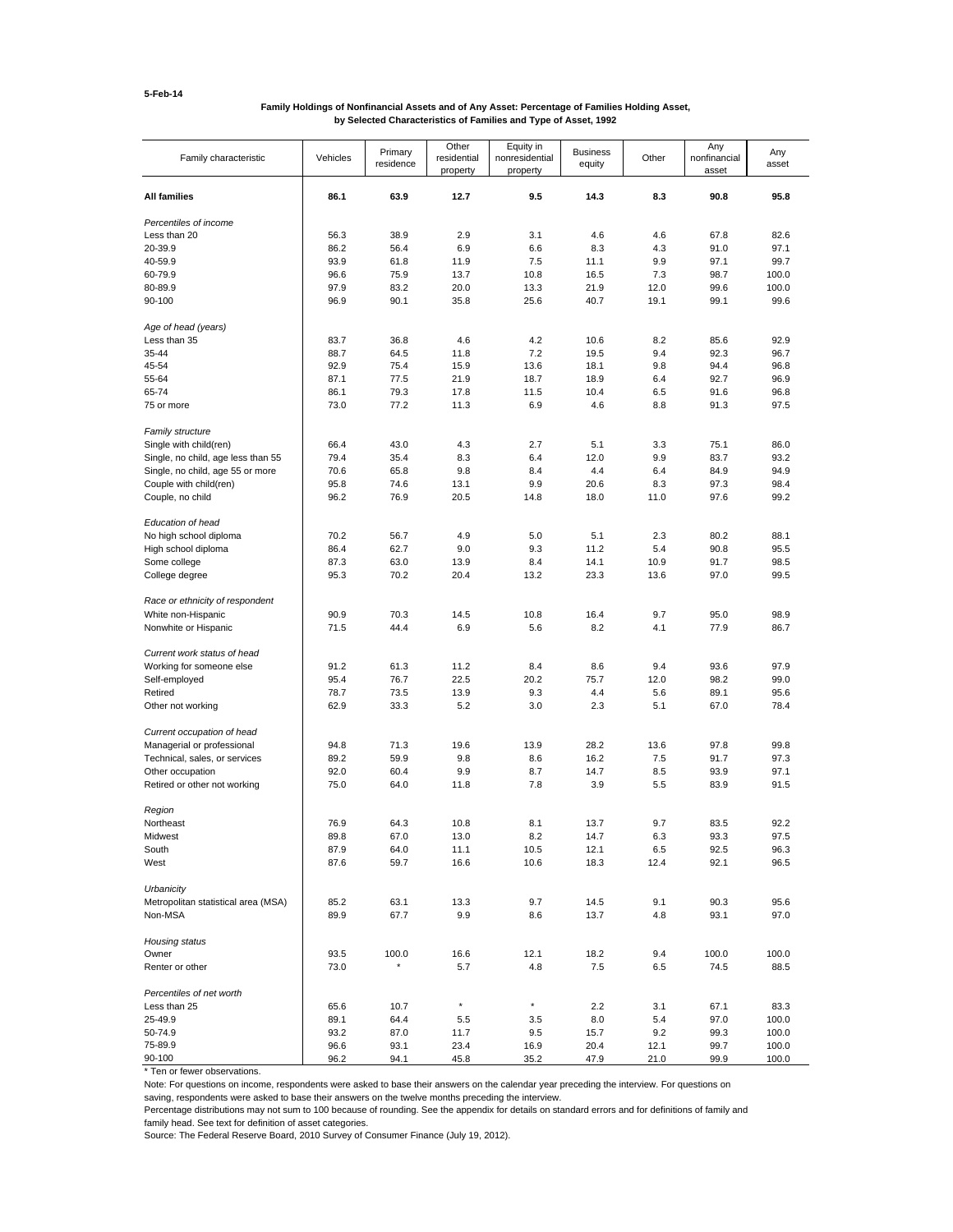### **Family Holdings of Nonfinancial Assets and of Any Asset: Percentage of Families Holding Asset, by Selected Characteristics of Families and Type of Asset, 1992**

| Family characteristic                     | Vehicles     | Primary<br>residence | Other<br>residential<br>property | Equity in<br>nonresidential<br>property | <b>Business</b><br>equity | Other        | Any<br>nonfinancial<br>asset | Any<br>asset   |
|-------------------------------------------|--------------|----------------------|----------------------------------|-----------------------------------------|---------------------------|--------------|------------------------------|----------------|
| <b>All families</b>                       | 86.1         | 63.9                 | 12.7                             | 9.5                                     | 14.3                      | 8.3          | 90.8                         | 95.8           |
| Percentiles of income                     |              |                      |                                  |                                         |                           |              |                              |                |
| Less than 20                              | 56.3         | 38.9                 | 2.9                              | 3.1                                     | 4.6                       | 4.6          | 67.8                         | 82.6           |
| 20-39.9                                   | 86.2         | 56.4                 | 6.9                              | 6.6                                     | 8.3                       | 4.3          | 91.0                         | 97.1           |
| 40-59.9                                   | 93.9         | 61.8                 | 11.9                             | 7.5                                     | 11.1                      | 9.9          | 97.1                         | 99.7           |
| 60-79.9                                   | 96.6         | 75.9                 | 13.7                             | 10.8                                    | 16.5                      | 7.3          | 98.7                         | 100.0          |
| 80-89.9                                   | 97.9         | 83.2                 | 20.0                             | 13.3                                    | 21.9                      | 12.0         | 99.6                         | 100.0          |
| 90-100                                    | 96.9         | 90.1                 | 35.8                             | 25.6                                    | 40.7                      | 19.1         | 99.1                         | 99.6           |
| Age of head (years)                       |              |                      |                                  |                                         |                           |              |                              |                |
| Less than 35                              | 83.7         | 36.8                 | 4.6                              | 4.2                                     | 10.6                      | 8.2          | 85.6                         | 92.9           |
| 35-44                                     | 88.7         | 64.5                 | 11.8                             | 7.2                                     | 19.5                      | 9.4          | 92.3                         | 96.7           |
| 45-54                                     | 92.9         | 75.4                 | 15.9                             | 13.6                                    | 18.1                      | 9.8          | 94.4                         | 96.8           |
| 55-64                                     | 87.1         | 77.5                 | 21.9                             | 18.7                                    | 18.9                      | 6.4          | 92.7                         | 96.9           |
| 65-74                                     | 86.1         | 79.3                 | 17.8                             | 11.5                                    | 10.4                      | 6.5          | 91.6                         | 96.8           |
| 75 or more                                | 73.0         | 77.2                 | 11.3                             | 6.9                                     | 4.6                       | 8.8          | 91.3                         | 97.5           |
| Family structure                          |              |                      |                                  |                                         |                           |              |                              |                |
| Single with child(ren)                    | 66.4         | 43.0                 | 4.3                              | 2.7                                     | 5.1                       | 3.3          | 75.1                         | 86.0           |
| Single, no child, age less than 55        | 79.4         | 35.4                 | 8.3                              | 6.4                                     | 12.0                      | 9.9          | 83.7                         | 93.2           |
| Single, no child, age 55 or more          | 70.6         | 65.8                 | 9.8                              | 8.4                                     | 4.4                       | 6.4          | 84.9                         | 94.9           |
| Couple with child(ren)                    | 95.8         | 74.6                 | 13.1                             | 9.9                                     | 20.6                      | 8.3          | 97.3                         | 98.4           |
| Couple, no child                          | 96.2         | 76.9                 | 20.5                             | 14.8                                    | 18.0                      | 11.0         | 97.6                         | 99.2           |
| Education of head                         |              |                      |                                  |                                         |                           |              |                              |                |
| No high school diploma                    | 70.2         | 56.7                 | 4.9                              | 5.0                                     | 5.1                       | 2.3          | 80.2                         | 88.1           |
| High school diploma                       | 86.4         | 62.7                 | 9.0                              | 9.3                                     | 11.2                      | 5.4          | 90.8                         | 95.5           |
| Some college                              | 87.3         | 63.0                 | 13.9                             | 8.4                                     | 14.1                      | 10.9         | 91.7                         | 98.5           |
| College degree                            | 95.3         | 70.2                 | 20.4                             | 13.2                                    | 23.3                      | 13.6         | 97.0                         | 99.5           |
| Race or ethnicity of respondent           |              |                      |                                  |                                         |                           |              |                              |                |
| White non-Hispanic                        | 90.9         | 70.3                 | 14.5                             | 10.8                                    | 16.4                      | 9.7          | 95.0                         | 98.9           |
| Nonwhite or Hispanic                      | 71.5         | 44.4                 | 6.9                              | 5.6                                     | 8.2                       | 4.1          | 77.9                         | 86.7           |
|                                           |              |                      |                                  |                                         |                           |              |                              |                |
| Current work status of head               |              | 61.3                 | 11.2                             | 8.4                                     | 8.6                       | 9.4          | 93.6                         | 97.9           |
| Working for someone else<br>Self-employed | 91.2<br>95.4 | 76.7                 | 22.5                             | 20.2                                    | 75.7                      | 12.0         | 98.2                         | 99.0           |
| Retired                                   | 78.7         | 73.5                 | 13.9                             | 9.3                                     | 4.4                       |              | 89.1                         | 95.6           |
| Other not working                         | 62.9         | 33.3                 | 5.2                              | 3.0                                     | 2.3                       | 5.6<br>5.1   | 67.0                         | 78.4           |
|                                           |              |                      |                                  |                                         |                           |              |                              |                |
| Current occupation of head                |              |                      |                                  |                                         |                           |              |                              |                |
| Managerial or professional                | 94.8         | 71.3                 | 19.6                             | 13.9                                    | 28.2                      | 13.6         | 97.8                         | 99.8           |
| Technical, sales, or services             | 89.2         | 59.9                 | 9.8                              | 8.6                                     | 16.2                      | 7.5          | 91.7                         | 97.3           |
| Other occupation                          | 92.0         | 60.4                 | 9.9                              | 8.7                                     | 14.7                      | 8.5          | 93.9                         | 97.1           |
| Retired or other not working              | 75.0         | 64.0                 | 11.8                             | 7.8                                     | 3.9                       | 5.5          | 83.9                         | 91.5           |
| Region                                    |              |                      |                                  |                                         |                           |              |                              |                |
| Northeast                                 | 76.9         | 64.3                 | 10.8                             | 8.1                                     | 13.7                      | 9.7          | 83.5                         | 92.2           |
| Midwest                                   | 89.8         | 67.0                 | 13.0                             | 8.2                                     | 14.7                      | 6.3          | 93.3                         | 97.5           |
| South                                     | 87.9         | 64.0                 | 11.1                             | 10.5                                    | 12.1                      | 6.5          | 92.5                         | 96.3           |
| West                                      | 87.6         | 59.7                 | 16.6                             | 10.6                                    | 18.3                      | 12.4         | 92.1                         | 96.5           |
| Urbanicity                                |              |                      |                                  |                                         |                           |              |                              |                |
| Metropolitan statistical area (MSA)       | 85.2         | 63.1                 | 13.3                             | 9.7                                     | 14.5                      | 9.1          | 90.3                         | 95.6           |
| Non-MSA                                   | 89.9         | 67.7                 | 9.9                              | 8.6                                     | 13.7                      | 4.8          | 93.1                         | 97.0           |
| Housing status                            |              |                      |                                  |                                         |                           |              |                              |                |
| Owner                                     | 93.5         | 100.0                | 16.6                             | 12.1                                    | 18.2                      | 9.4          | 100.0                        | 100.0          |
| Renter or other                           | 73.0         |                      | 5.7                              | 4.8                                     | 7.5                       | 6.5          | 74.5                         | 88.5           |
|                                           |              |                      |                                  |                                         |                           |              |                              |                |
| Percentiles of net worth                  |              |                      | $^\star$                         | $^\star$                                |                           |              |                              |                |
| Less than 25                              | 65.6         | 10.7                 |                                  |                                         | 2.2                       | 3.1          | 67.1                         | 83.3           |
| 25-49.9                                   | 89.1         | 64.4                 | $5.5$                            | 3.5                                     | 8.0                       | 5.4          | 97.0                         | 100.0          |
| 50-74.9<br>75-89.9                        | 93.2         | 87.0                 | 11.7                             | 9.5                                     | 15.7                      | 9.2          | 99.3                         | 100.0          |
| 90-100                                    | 96.6<br>96.2 | 93.1<br>94.1         | 23.4<br>45.8                     | 16.9<br>35.2                            | 20.4<br>47.9              | 12.1<br>21.0 | 99.7<br>99.9                 | 100.0<br>100.0 |
|                                           |              |                      |                                  |                                         |                           |              |                              |                |

\* Ten or fewer observations.

Note: For questions on income, respondents were asked to base their answers on the calendar year preceding the interview. For questions on

saving, respondents were asked to base their answers on the twelve months preceding the interview.

Percentage distributions may not sum to 100 because of rounding. See the appendix for details on standard errors and for definitions of family and